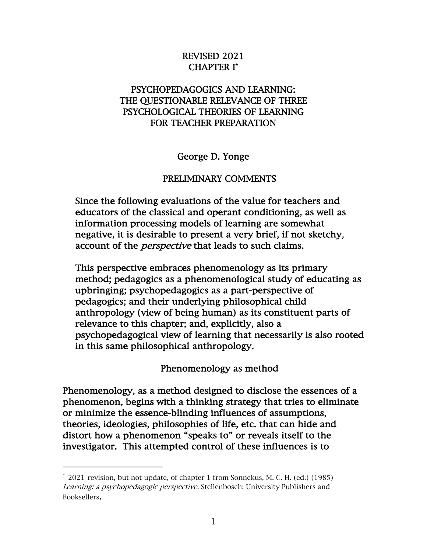### REVISED 2021 CHAPTER I\*

## PSYCHOPEDAGOGICS AND LEARNING: THE QUESTIONABLE RELEVANCE OF THREE PSYCHOLOGICAL THEORIES OF LEARNING FOR TEACHER PREPARATION

George D. Yonge

#### PRELIMINARY COMMENTS

Since the following evaluations of the value for teachers and educators of the classical and operant conditioning, as well as information processing models of learning are somewhat negative, it is desirable to present a very brief, if not sketchy, account of the *perspective* that leads to such claims.

This perspective embraces phenomenology as its primary method; pedagogics as a phenomenological study of educating as upbringing; psychopedagogics as a part-perspective of pedagogics; and their underlying philosophical child anthropology (view of being human) as its constituent parts of relevance to this chapter; and, explicitly, also a psychopedagogical view of learning that necessarily is also rooted in this same philosophical anthropology.

Phenomenology as method

Phenomenology, as a method designed to disclose the essences of a phenomenon, begins with a thinking strategy that tries to eliminate or minimize the essence-blinding influences of assumptions, theories, ideologies, philosophies of life, etc. that can hide and distort how a phenomenon "speaks to" or reveals itself to the investigator. This attempted control of these influences is to

 $*$  2021 revision, but not update, of chapter 1 from Sonnekus, M. C. H. (ed.) (1985) Learning: a psychopedagogic perspective. Stellenbosch: University Publishers and Booksellers.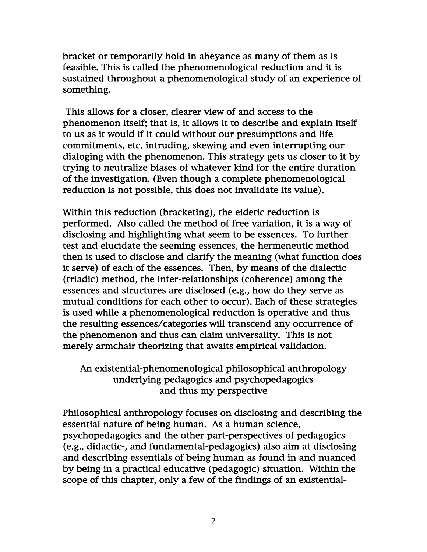bracket or temporarily hold in abeyance as many of them as is feasible. This is called the phenomenological reduction and it is sustained throughout a phenomenological study of an experience of something.

 This allows for a closer, clearer view of and access to the phenomenon itself; that is, it allows it to describe and explain itself to us as it would if it could without our presumptions and life commitments, etc. intruding, skewing and even interrupting our dialoging with the phenomenon. This strategy gets us closer to it by trying to neutralize biases of whatever kind for the entire duration of the investigation. (Even though a complete phenomenological reduction is not possible, this does not invalidate its value).

Within this reduction (bracketing), the eidetic reduction is performed. Also called the method of free variation, it is a way of disclosing and highlighting what seem to be essences. To further test and elucidate the seeming essences, the hermeneutic method then is used to disclose and clarify the meaning (what function does it serve) of each of the essences. Then, by means of the dialectic (triadic) method, the inter-relationships (coherence) among the essences and structures are disclosed (e.g., how do they serve as mutual conditions for each other to occur). Each of these strategies is used while a phenomenological reduction is operative and thus the resulting essences/categories will transcend any occurrence of the phenomenon and thus can claim universality. This is not merely armchair theorizing that awaits empirical validation.

# An existential-phenomenological philosophical anthropology underlying pedagogics and psychopedagogics and thus my perspective

Philosophical anthropology focuses on disclosing and describing the essential nature of being human. As a human science, psychopedagogics and the other part-perspectives of pedagogics (e.g., didactic-, and fundamental-pedagogics) also aim at disclosing and describing essentials of being human as found in and nuanced by being in a practical educative (pedagogic) situation. Within the scope of this chapter, only a few of the findings of an existential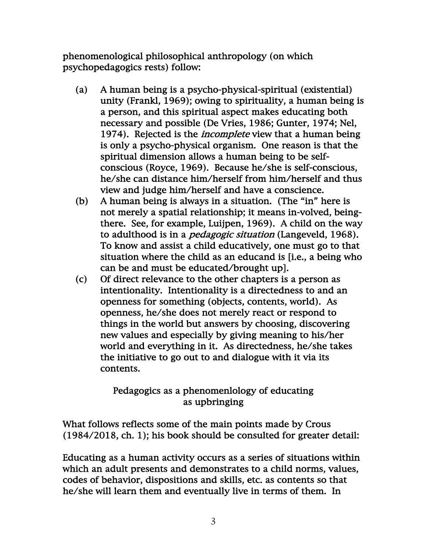phenomenological philosophical anthropology (on which psychopedagogics rests) follow:

- (a) A human being is a psycho-physical-spiritual (existential) unity (Frankl, 1969); owing to spirituality, a human being is a person, and this spiritual aspect makes educating both necessary and possible (De Vries, 1986; Gunter, 1974; Nel, 1974). Rejected is the *incomplete* view that a human being is only a psycho-physical organism. One reason is that the spiritual dimension allows a human being to be selfconscious (Royce, 1969). Because he/she is self-conscious, he/she can distance him/herself from him/herself and thus view and judge him/herself and have a conscience.
- (b) A human being is always in a situation. (The "in" here is not merely a spatial relationship; it means in-volved, beingthere. See, for example, Luijpen, 1969). A child on the way to adulthood is in a pedagogic situation (Langeveld, 1968). To know and assist a child educatively, one must go to that situation where the child as an educand is [i.e., a being who can be and must be educated/brought up].
- (c) Of direct relevance to the other chapters is a person as intentionality. Intentionality is a directedness to and an openness for something (objects, contents, world). As openness, he/she does not merely react or respond to things in the world but answers by choosing, discovering new values and especially by giving meaning to his/her world and everything in it. As directedness, he/she takes the initiative to go out to and dialogue with it via its contents.

# Pedagogics as a phenomenlology of educating as upbringing

What follows reflects some of the main points made by Crous (1984/2018, ch. 1); his book should be consulted for greater detail:

Educating as a human activity occurs as a series of situations within which an adult presents and demonstrates to a child norms, values, codes of behavior, dispositions and skills, etc. as contents so that he/she will learn them and eventually live in terms of them. In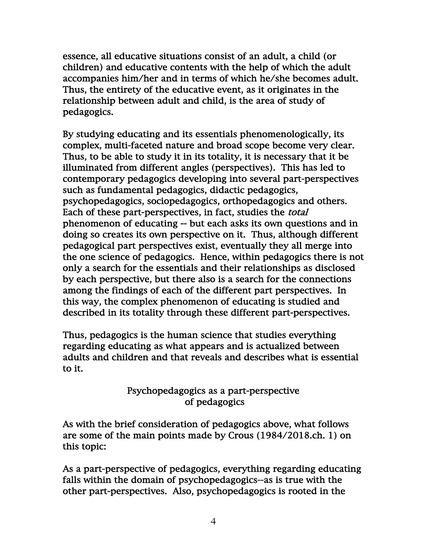essence, all educative situations consist of an adult, a child (or children) and educative contents with the help of which the adult accompanies him/her and in terms of which he/she becomes adult. Thus, the entirety of the educative event, as it originates in the relationship between adult and child, is the area of study of pedagogics.

By studying educating and its essentials phenomenologically, its complex, multi-faceted nature and broad scope become very clear. Thus, to be able to study it in its totality, it is necessary that it be illuminated from different angles (perspectives). This has led to contemporary pedagogics developing into several part-perspectives such as fundamental pedagogics, didactic pedagogics, psychopedagogics, sociopedagogics, orthopedagogics and others. Each of these part-perspectives, in fact, studies the *total* phenomenon of educating -- but each asks its own questions and in doing so creates its own perspective on it. Thus, although different pedagogical part perspectives exist, eventually they all merge into the one science of pedagogics. Hence, within pedagogics there is not only a search for the essentials and their relationships as disclosed by each perspective, but there also is a search for the connections among the findings of each of the different part perspectives. In this way, the complex phenomenon of educating is studied and described in its totality through these different part-perspectives.

Thus, pedagogics is the human science that studies everything regarding educating as what appears and is actualized between adults and children and that reveals and describes what is essential to it.

## Psychopedagogics as a part-perspective of pedagogics

As with the brief consideration of pedagogics above, what follows are some of the main points made by Crous (1984/2018.ch. 1) on this topic:

As a part-perspective of pedagogics, everything regarding educating falls within the domain of psychopedagogics--as is true with the other part-perspectives. Also, psychopedagogics is rooted in the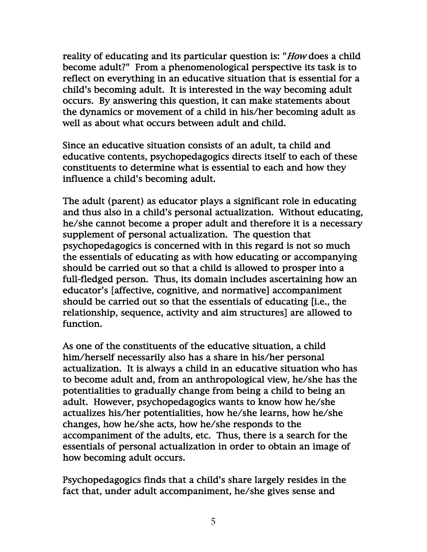reality of educating and its particular question is: "*How* does a child become adult?" From a phenomenological perspective its task is to reflect on everything in an educative situation that is essential for a child's becoming adult. It is interested in the way becoming adult occurs. By answering this question, it can make statements about the dynamics or movement of a child in his/her becoming adult as well as about what occurs between adult and child.

Since an educative situation consists of an adult, ta child and educative contents, psychopedagogics directs itself to each of these constituents to determine what is essential to each and how they influence a child's becoming adult.

The adult (parent) as educator plays a significant role in educating and thus also in a child's personal actualization. Without educating, he/she cannot become a proper adult and therefore it is a necessary supplement of personal actualization. The question that psychopedagogics is concerned with in this regard is not so much the essentials of educating as with how educating or accompanying should be carried out so that a child is allowed to prosper into a full-fledged person. Thus, its domain includes ascertaining how an educator's [affective, cognitive, and normative] accompaniment should be carried out so that the essentials of educating [i.e., the relationship, sequence, activity and aim structures] are allowed to function.

As one of the constituents of the educative situation, a child him/herself necessarily also has a share in his/her personal actualization. It is always a child in an educative situation who has to become adult and, from an anthropological view, he/she has the potentialities to gradually change from being a child to being an adult. However, psychopedagogics wants to know how he/she actualizes his/her potentialities, how he/she learns, how he/she changes, how he/she acts, how he/she responds to the accompaniment of the adults, etc. Thus, there is a search for the essentials of personal actualization in order to obtain an image of how becoming adult occurs.

Psychopedagogics finds that a child's share largely resides in the fact that, under adult accompaniment, he/she gives sense and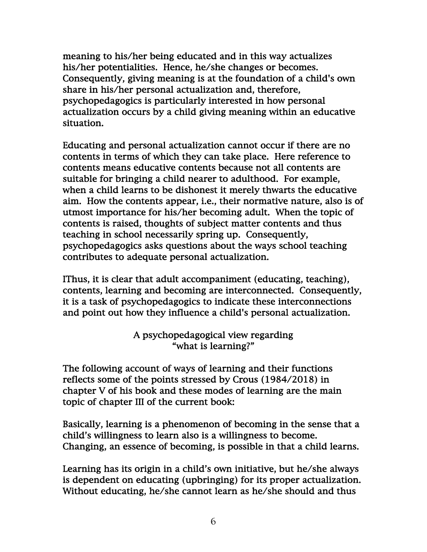meaning to his/her being educated and in this way actualizes his/her potentialities. Hence, he/she changes or becomes. Consequently, giving meaning is at the foundation of a child's own share in his/her personal actualization and, therefore, psychopedagogics is particularly interested in how personal actualization occurs by a child giving meaning within an educative situation.

Educating and personal actualization cannot occur if there are no contents in terms of which they can take place. Here reference to contents means educative contents because not all contents are suitable for bringing a child nearer to adulthood. For example, when a child learns to be dishonest it merely thwarts the educative aim. How the contents appear, i.e., their normative nature, also is of utmost importance for his/her becoming adult. When the topic of contents is raised, thoughts of subject matter contents and thus teaching in school necessarily spring up. Consequently, psychopedagogics asks questions about the ways school teaching contributes to adequate personal actualization.

IThus, it is clear that adult accompaniment (educating, teaching), contents, learning and becoming are interconnected. Consequently, it is a task of psychopedagogics to indicate these interconnections and point out how they influence a child's personal actualization.

## A psychopedagogical view regarding "what is learning?"

The following account of ways of learning and their functions reflects some of the points stressed by Crous (1984/2018) in chapter V of his book and these modes of learning are the main topic of chapter III of the current book:

Basically, learning is a phenomenon of becoming in the sense that a child's willingness to learn also is a willingness to become. Changing, an essence of becoming, is possible in that a child learns.

Learning has its origin in a child's own initiative, but he/she always is dependent on educating (upbringing) for its proper actualization. Without educating, he/she cannot learn as he/she should and thus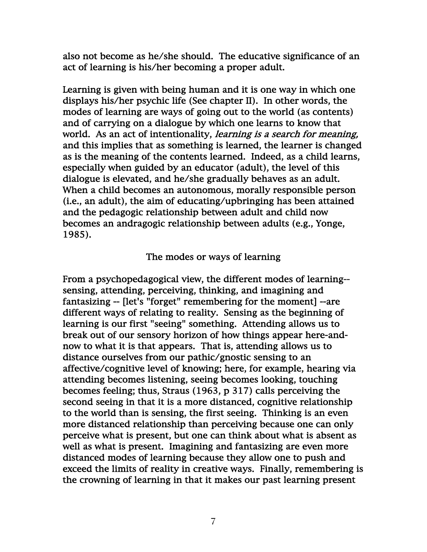also not become as he/she should. The educative significance of an act of learning is his/her becoming a proper adult.

Learning is given with being human and it is one way in which one displays his/her psychic life (See chapter II). In other words, the modes of learning are ways of going out to the world (as contents) and of carrying on a dialogue by which one learns to know that world. As an act of intentionality, learning is a search for meaning, and this implies that as something is learned, the learner is changed as is the meaning of the contents learned. Indeed, as a child learns, especially when guided by an educator (adult), the level of this dialogue is elevated, and he/she gradually behaves as an adult. When a child becomes an autonomous, morally responsible person (i.e., an adult), the aim of educating/upbringing has been attained and the pedagogic relationship between adult and child now becomes an andragogic relationship between adults (e.g., Yonge, 1985).

#### The modes or ways of learning

From a psychopedagogical view, the different modes of learning- sensing, attending, perceiving, thinking, and imagining and fantasizing -- [let's "forget" remembering for the moment] --are different ways of relating to reality. Sensing as the beginning of learning is our first "seeing" something. Attending allows us to break out of our sensory horizon of how things appear here-andnow to what it is that appears. That is, attending allows us to distance ourselves from our pathic/gnostic sensing to an affective/cognitive level of knowing; here, for example, hearing via attending becomes listening, seeing becomes looking, touching becomes feeling; thus, Straus (1963, p 317) calls perceiving the second seeing in that it is a more distanced, cognitive relationship to the world than is sensing, the first seeing. Thinking is an even more distanced relationship than perceiving because one can only perceive what is present, but one can think about what is absent as well as what is present. Imagining and fantasizing are even more distanced modes of learning because they allow one to push and exceed the limits of reality in creative ways. Finally, remembering is the crowning of learning in that it makes our past learning present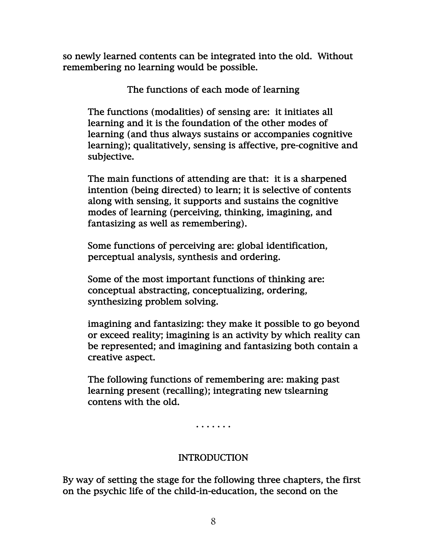so newly learned contents can be integrated into the old. Without remembering no learning would be possible.

The functions of each mode of learning

The functions (modalities) of sensing are: it initiates all learning and it is the foundation of the other modes of learning (and thus always sustains or accompanies cognitive learning); qualitatively, sensing is affective, pre-cognitive and subjective.

The main functions of attending are that: it is a sharpened intention (being directed) to learn; it is selective of contents along with sensing, it supports and sustains the cognitive modes of learning (perceiving, thinking, imagining, and fantasizing as well as remembering).

Some functions of perceiving are: global identification, perceptual analysis, synthesis and ordering.

Some of the most important functions of thinking are: conceptual abstracting, conceptualizing, ordering, synthesizing problem solving.

imagining and fantasizing: they make it possible to go beyond or exceed reality; imagining is an activity by which reality can be represented; and imagining and fantasizing both contain a creative aspect.

The following functions of remembering are: making past learning present (recalling); integrating new tslearning contens with the old.

. . . . . . .

# INTRODUCTION

By way of setting the stage for the following three chapters, the first on the psychic life of the child-in-education, the second on the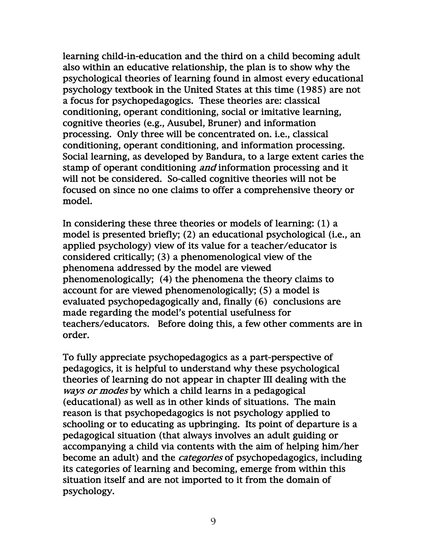learning child-in-education and the third on a child becoming adult also within an educative relationship, the plan is to show why the psychological theories of learning found in almost every educational psychology textbook in the United States at this time (1985) are not a focus for psychopedagogics. These theories are: classical conditioning, operant conditioning, social or imitative learning, cognitive theories (e.g., Ausubel, Bruner) and information processing. Only three will be concentrated on. i.e., classical conditioning, operant conditioning, and information processing. Social learning, as developed by Bandura, to a large extent caries the stamp of operant conditioning *and* information processing and it will not be considered. So-called cognitive theories will not be focused on since no one claims to offer a comprehensive theory or model.

In considering these three theories or models of learning: (1) a model is presented briefly; (2) an educational psychological (i.e., an applied psychology) view of its value for a teacher/educator is considered critically; (3) a phenomenological view of the phenomena addressed by the model are viewed phenomenologically; (4) the phenomena the theory claims to account for are viewed phenomenologically; (5) a model is evaluated psychopedagogically and, finally (6) conclusions are made regarding the model's potential usefulness for teachers/educators. Before doing this, a few other comments are in order.

To fully appreciate psychopedagogics as a part-perspective of pedagogics, it is helpful to understand why these psychological theories of learning do not appear in chapter III dealing with the ways or modes by which a child learns in a pedagogical (educational) as well as in other kinds of situations. The main reason is that psychopedagogics is not psychology applied to schooling or to educating as upbringing. Its point of departure is a pedagogical situation (that always involves an adult guiding or accompanying a child via contents with the aim of helping him/her become an adult) and the *categories* of psychopedagogics, including its categories of learning and becoming, emerge from within this situation itself and are not imported to it from the domain of psychology.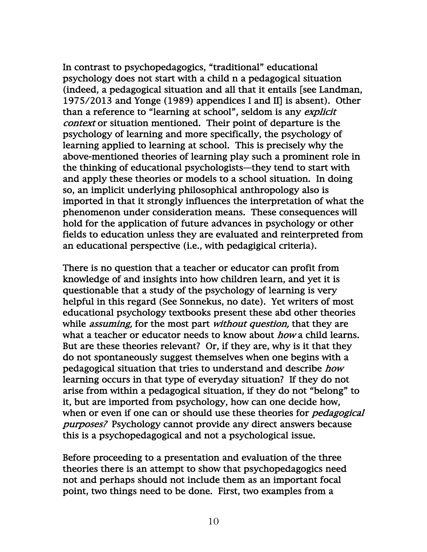In contrast to psychopedagogics, "traditional" educational psychology does not start with a child n a pedagogical situation (indeed, a pedagogical situation and all that it entails [see Landman, 1975/2013 and Yonge (1989) appendices I and II] is absent). Other than a reference to "learning at school", seldom is any *explicit* context or situation mentioned. Their point of departure is the psychology of learning and more specifically, the psychology of learning applied to learning at school. This is precisely why the above-mentioned theories of learning play such a prominent role in the thinking of educational psychologists—they tend to start with and apply these theories or models to a school situation. In doing so, an implicit underlying philosophical anthropology also is imported in that it strongly influences the interpretation of what the phenomenon under consideration means. These consequences will hold for the application of future advances in psychology or other fields to education unless they are evaluated and reinterpreted from an educational perspective (i.e., with pedagigical criteria).

There is no question that a teacher or educator can profit from knowledge of and insights into how children learn, and yet it is questionable that a study of the psychology of learning is very helpful in this regard (See Sonnekus, no date). Yet writers of most educational psychology textbooks present these abd other theories while *assuming*, for the most part *without question*, that they are what a teacher or educator needs to know about *how* a child learns. But are these theories relevant? Or, if they are, why is it that they do not spontaneously suggest themselves when one begins with a pedagogical situation that tries to understand and describe *how* learning occurs in that type of everyday situation? If they do not arise from within a pedagogical situation, if they do not "belong" to it, but are imported from psychology, how can one decide how, when or even if one can or should use these theories for *pedagogical* purposes? Psychology cannot provide any direct answers because this is a psychopedagogical and not a psychological issue.

Before proceeding to a presentation and evaluation of the three theories there is an attempt to show that psychopedagogics need not and perhaps should not include them as an important focal point, two things need to be done. First, two examples from a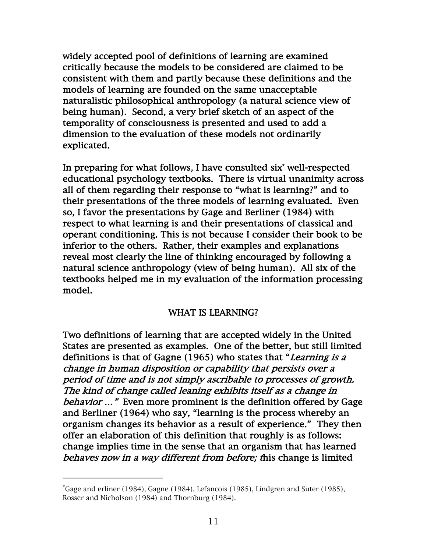widely accepted pool of definitions of learning are examined critically because the models to be considered are claimed to be consistent with them and partly because these definitions and the models of learning are founded on the same unacceptable naturalistic philosophical anthropology (a natural science view of being human). Second, a very brief sketch of an aspect of the temporality of consciousness is presented and used to add a dimension to the evaluation of these models not ordinarily explicated.

In preparing for what follows, I have consulted six\* well-respected educational psychology textbooks. There is virtual unanimity across all of them regarding their response to "what is learning?" and to their presentations of the three models of learning evaluated. Even so, I favor the presentations by Gage and Berliner (1984) with respect to what learning is and their presentations of classical and operant conditioning. This is not because I consider their book to be inferior to the others. Rather, their examples and explanations reveal most clearly the line of thinking encouraged by following a natural science anthropology (view of being human). All six of the textbooks helped me in my evaluation of the information processing model.

### WHAT IS LEARNING?

Two definitions of learning that are accepted widely in the United States are presented as examples. One of the better, but still limited definitions is that of Gagne (1965) who states that "Learning is a change in human disposition or capability that persists over a period of time and is not simply ascribable to processes of growth. The kind of change called leaning exhibits itself as a change in behavior …" Even more prominent is the definition offered by Gage and Berliner (1964) who say, "learning is the process whereby an organism changes its behavior as a result of experience." They then offer an elaboration of this definition that roughly is as follows: change implies time in the sense that an organism that has learned behaves now in a way different from before; this change is limited

<sup>\*</sup> Gage and erliner (1984), Gagne (1984), Lefancois (1985), Lindgren and Suter (1985), Rosser and Nicholson (1984) and Thornburg (1984).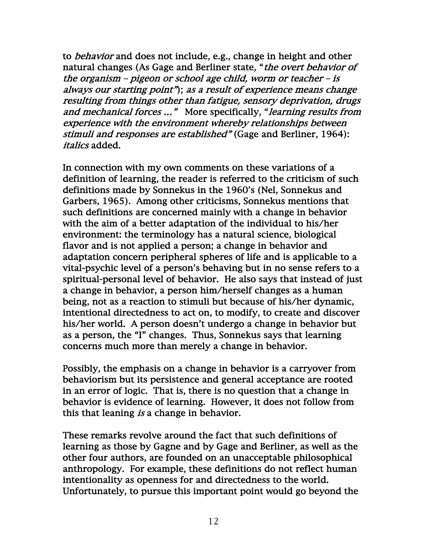to behavior and does not include, e.g., change in height and other natural changes (As Gage and Berliner state, "*the overt behavior of* the organism – pigeon or school age child, worm or teacher – is always our starting point"); as a result of experience means change resulting from things other than fatigue, sensory deprivation, drugs and mechanical forces ..." More specifically, "learning results from experience with the environment whereby relationships between stimuli and responses are established" (Gage and Berliner, 1964): italics added.

In connection with my own comments on these variations of a definition of learning, the reader is referred to the criticism of such definitions made by Sonnekus in the 1960's (Nel, Sonnekus and Garbers, 1965). Among other criticisms, Sonnekus mentions that such definitions are concerned mainly with a change in behavior with the aim of a better adaptation of the individual to his/her environment: the terminology has a natural science, biological flavor and is not applied a person; a change in behavior and adaptation concern peripheral spheres of life and is applicable to a vital-psychic level of a person's behaving but in no sense refers to a spiritual-personal level of behavior. He also says that instead of just a change in behavior, a person him/herself changes as a human being, not as a reaction to stimuli but because of his/her dynamic, intentional directedness to act on, to modify, to create and discover his/her world. A person doesn't undergo a change in behavior but as a person, the "I" changes. Thus, Sonnekus says that learning concerns much more than merely a change in behavior.

Possibly, the emphasis on a change in behavior is a carryover from behaviorism but its persistence and general acceptance are rooted in an error of logic. That is, there is no question that a change in behavior is evidence of learning. However, it does not follow from this that leaning is a change in behavior.

These remarks revolve around the fact that such definitions of learning as those by Gagne and by Gage and Berliner, as well as the other four authors, are founded on an unacceptable philosophical anthropology. For example, these definitions do not reflect human intentionality as openness for and directedness to the world. Unfortunately, to pursue this important point would go beyond the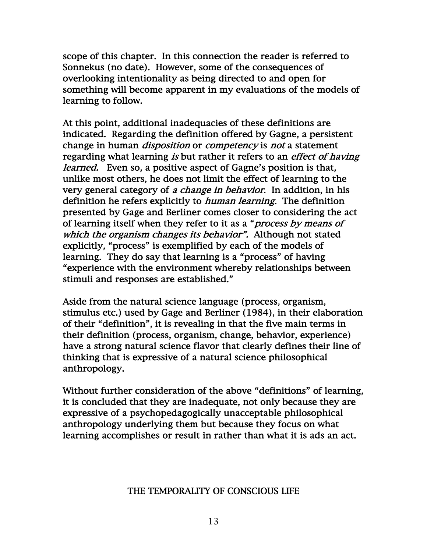scope of this chapter. In this connection the reader is referred to Sonnekus (no date). However, some of the consequences of overlooking intentionality as being directed to and open for something will become apparent in my evaluations of the models of learning to follow.

At this point, additional inadequacies of these definitions are indicated. Regarding the definition offered by Gagne, a persistent change in human *disposition* or *competency* is *not* a statement regarding what learning is but rather it refers to an effect of having *learned.* Even so, a positive aspect of Gagne's position is that, unlike most others, he does not limit the effect of learning to the very general category of a change in behavior. In addition, in his definition he refers explicitly to *human learning*. The definition presented by Gage and Berliner comes closer to considering the act of learning itself when they refer to it as a "*process by means of* which the organism changes its behavior". Although not stated explicitly, "process" is exemplified by each of the models of learning. They do say that learning is a "process" of having "experience with the environment whereby relationships between stimuli and responses are established."

Aside from the natural science language (process, organism, stimulus etc.) used by Gage and Berliner (1984), in their elaboration of their "definition", it is revealing in that the five main terms in their definition (process, organism, change, behavior, experience) have a strong natural science flavor that clearly defines their line of thinking that is expressive of a natural science philosophical anthropology.

Without further consideration of the above "definitions" of learning, it is concluded that they are inadequate, not only because they are expressive of a psychopedagogically unacceptable philosophical anthropology underlying them but because they focus on what learning accomplishes or result in rather than what it is ads an act.

### THE TEMPORALITY OF CONSCIOUS LIFE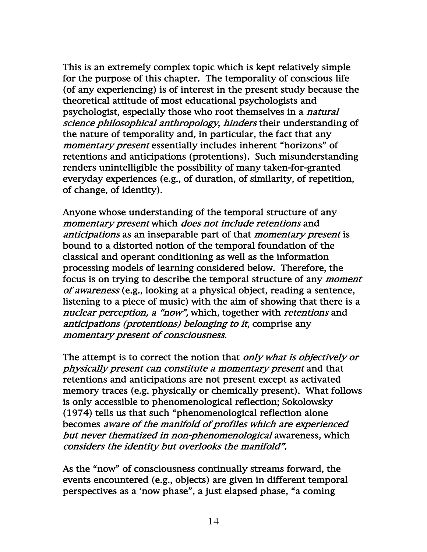This is an extremely complex topic which is kept relatively simple for the purpose of this chapter. The temporality of conscious life (of any experiencing) is of interest in the present study because the theoretical attitude of most educational psychologists and psychologist, especially those who root themselves in a natural science philosophical anthropology, hinders their understanding of the nature of temporality and, in particular, the fact that any momentary present essentially includes inherent "horizons" of retentions and anticipations (protentions). Such misunderstanding renders unintelligible the possibility of many taken-for-granted everyday experiences (e.g., of duration, of similarity, of repetition, of change, of identity).

Anyone whose understanding of the temporal structure of any momentary present which does not include retentions and anticipations as an inseparable part of that *momentary present* is bound to a distorted notion of the temporal foundation of the classical and operant conditioning as well as the information processing models of learning considered below. Therefore, the focus is on trying to describe the temporal structure of any moment of awareness (e.g., looking at a physical object, reading a sentence, listening to a piece of music) with the aim of showing that there is a nuclear perception, a "now", which, together with retentions and anticipations (protentions) belonging to it, comprise any momentary present of consciousness.

The attempt is to correct the notion that *only what is objectively or* physically present can constitute a momentary present and that retentions and anticipations are not present except as activated memory traces (e.g. physically or chemically present). What follows is only accessible to phenomenological reflection; Sokolowsky (1974) tells us that such "phenomenological reflection alone becomes aware of the manifold of profiles which are experienced but never thematized in non-phenomenological awareness, which considers the identity but overlooks the manifold".

As the "now" of consciousness continually streams forward, the events encountered (e.g., objects) are given in different temporal perspectives as a 'now phase", a just elapsed phase, "a coming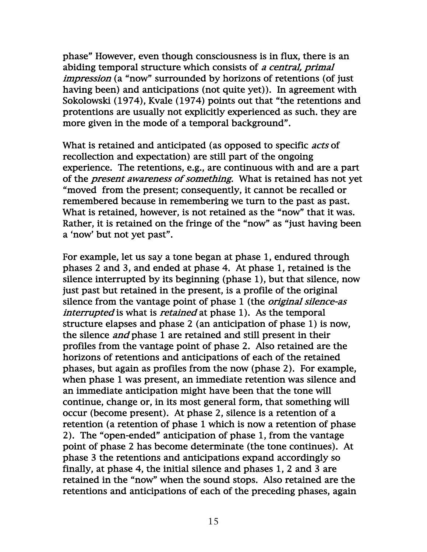phase" However, even though consciousness is in flux, there is an abiding temporal structure which consists of a central, primal impression (a "now" surrounded by horizons of retentions (of just having been) and anticipations (not quite yet)). In agreement with Sokolowski (1974), Kvale (1974) points out that "the retentions and protentions are usually not explicitly experienced as such. they are more given in the mode of a temporal background".

What is retained and anticipated (as opposed to specific *acts* of recollection and expectation) are still part of the ongoing experience. The retentions, e.g., are continuous with and are a part of the *present awareness of something*. What is retained has not yet "moved from the present; consequently, it cannot be recalled or remembered because in remembering we turn to the past as past. What is retained, however, is not retained as the "now" that it was. Rather, it is retained on the fringe of the "now" as "just having been a 'now' but not yet past".

For example, let us say a tone began at phase 1, endured through phases 2 and 3, and ended at phase 4. At phase 1, retained is the silence interrupted by its beginning (phase 1), but that silence, now just past but retained in the present, is a profile of the original silence from the vantage point of phase 1 (the *original silence-as* interrupted is what is *retained* at phase 1). As the temporal structure elapses and phase 2 (an anticipation of phase 1) is now, the silence *and* phase 1 are retained and still present in their profiles from the vantage point of phase 2. Also retained are the horizons of retentions and anticipations of each of the retained phases, but again as profiles from the now (phase 2). For example, when phase 1 was present, an immediate retention was silence and an immediate anticipation might have been that the tone will continue, change or, in its most general form, that something will occur (become present). At phase 2, silence is a retention of a retention (a retention of phase 1 which is now a retention of phase 2). The "open-ended" anticipation of phase 1, from the vantage point of phase 2 has become determinate (the tone continues). At phase 3 the retentions and anticipations expand accordingly so finally, at phase 4, the initial silence and phases 1, 2 and 3 are retained in the "now" when the sound stops. Also retained are the retentions and anticipations of each of the preceding phases, again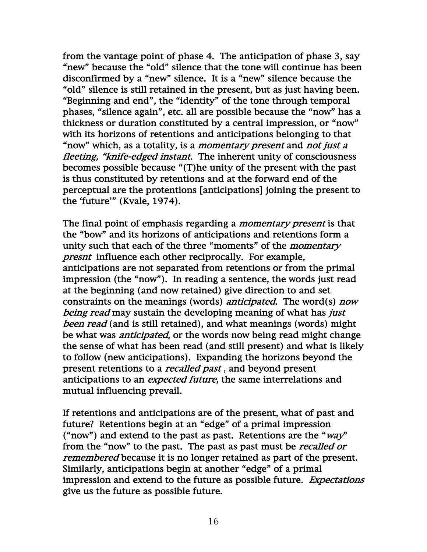from the vantage point of phase 4. The anticipation of phase 3, say "new" because the "old" silence that the tone will continue has been disconfirmed by a "new" silence. It is a "new" silence because the "old" silence is still retained in the present, but as just having been. "Beginning and end", the "identity" of the tone through temporal phases, "silence again", etc. all are possible because the "now" has a thickness or duration constituted by a central impression, or "now" with its horizons of retentions and anticipations belonging to that "now" which, as a totality, is a *momentary present* and *not just a* fleeting, "knife-edged instant. The inherent unity of consciousness becomes possible because "(T)he unity of the present with the past is thus constituted by retentions and at the forward end of the perceptual are the protentions [anticipations] joining the present to the 'future'" (Kvale, 1974).

The final point of emphasis regarding a *momentary present* is that the "bow" and its horizons of anticipations and retentions form a unity such that each of the three "moments" of the *momentary* presnt influence each other reciprocally. For example, anticipations are not separated from retentions or from the primal impression (the "now"). In reading a sentence, the words just read at the beginning (and now retained) give direction to and set constraints on the meanings (words) *anticipated*. The word(s) *now* being read may sustain the developing meaning of what has just been read (and is still retained), and what meanings (words) might be what was *anticipated*, or the words now being read might change the sense of what has been read (and still present) and what is likely to follow (new anticipations). Expanding the horizons beyond the present retentions to a *recalled past*, and beyond present anticipations to an expected future, the same interrelations and mutual influencing prevail.

If retentions and anticipations are of the present, what of past and future? Retentions begin at an "edge" of a primal impression ("now") and extend to the past as past. Retentions are the " $way"$ from the "now" to the past. The past as past must be *recalled or* remembered because it is no longer retained as part of the present. Similarly, anticipations begin at another "edge" of a primal impression and extend to the future as possible future. Expectations give us the future as possible future.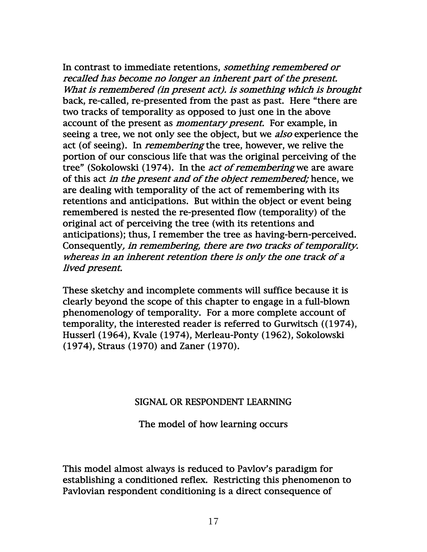In contrast to immediate retentions, *something remembered or* recalled has become no longer an inherent part of the present. What is remembered (in present act). is something which is brought back, re-called, re-presented from the past as past. Here "there are two tracks of temporality as opposed to just one in the above account of the present as *momentary present*. For example, in seeing a tree, we not only see the object, but we *also* experience the act (of seeing). In *remembering* the tree, however, we relive the portion of our conscious life that was the original perceiving of the tree" (Sokolowski (1974). In the *act of remembering* we are aware of this act *in the present and of the object remembered*; hence, we are dealing with temporality of the act of remembering with its retentions and anticipations. But within the object or event being remembered is nested the re-presented flow (temporality) of the original act of perceiving the tree (with its retentions and anticipations); thus, I remember the tree as having-bern-perceived. Consequently, in remembering, there are two tracks of temporality. whereas in an inherent retention there is only the one track of a lived present.

These sketchy and incomplete comments will suffice because it is clearly beyond the scope of this chapter to engage in a full-blown phenomenology of temporality. For a more complete account of temporality, the interested reader is referred to Gurwitsch ((1974), Husserl (1964), Kvale (1974), Merleau-Ponty (1962), Sokolowski (1974), Straus (1970) and Zaner (1970).

#### SIGNAL OR RESPONDENT LEARNING

The model of how learning occurs

This model almost always is reduced to Pavlov's paradigm for establishing a conditioned reflex. Restricting this phenomenon to Pavlovian respondent conditioning is a direct consequence of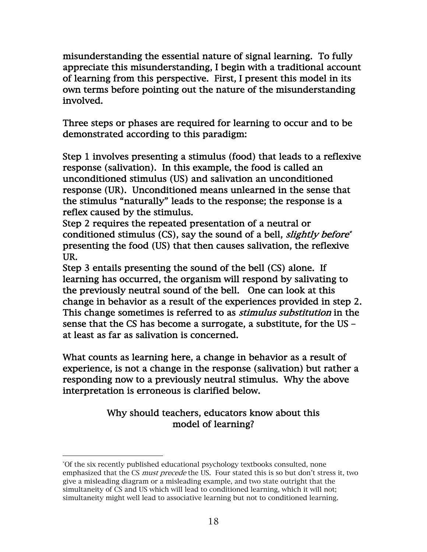misunderstanding the essential nature of signal learning. To fully appreciate this misunderstanding, I begin with a traditional account of learning from this perspective. First, I present this model in its own terms before pointing out the nature of the misunderstanding involved.

Three steps or phases are required for learning to occur and to be demonstrated according to this paradigm:

Step 1 involves presenting a stimulus (food) that leads to a reflexive response (salivation). In this example, the food is called an unconditioned stimulus (US) and salivation an unconditioned response (UR). Unconditioned means unlearned in the sense that the stimulus "naturally" leads to the response; the response is a reflex caused by the stimulus.

Step 2 requires the repeated presentation of a neutral or conditioned stimulus (CS), say the sound of a bell, slightly before\* presenting the food (US) that then causes salivation, the reflexive UR.

Step 3 entails presenting the sound of the bell (CS) alone. If learning has occurred, the organism will respond by salivating to the previously neutral sound of the bell. One can look at this change in behavior as a result of the experiences provided in step 2. This change sometimes is referred to as *stimulus substitution* in the sense that the CS has become a surrogate, a substitute, for the US – at least as far as salivation is concerned.

What counts as learning here, a change in behavior as a result of experience, is not a change in the response (salivation) but rather a responding now to a previously neutral stimulus. Why the above interpretation is erroneous is clarified below.

# Why should teachers, educators know about this model of learning?

<sup>\*</sup> Of the six recently published educational psychology textbooks consulted, none emphasized that the CS *must precede* the US. Four stated this is so but don't stress it, two give a misleading diagram or a misleading example, and two state outright that the simultaneity of CS and US which will lead to conditioned learning, which it will not; simultaneity might well lead to associative learning but not to conditioned learning.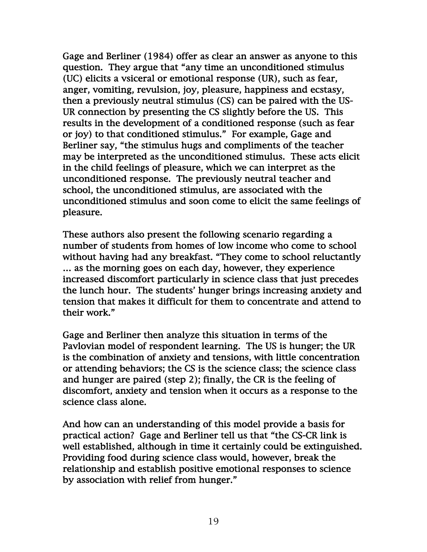Gage and Berliner (1984) offer as clear an answer as anyone to this question. They argue that "any time an unconditioned stimulus (UC) elicits a vsiceral or emotional response (UR), such as fear, anger, vomiting, revulsion, joy, pleasure, happiness and ecstasy, then a previously neutral stimulus (CS) can be paired with the US-UR connection by presenting the CS slightly before the US. This results in the development of a conditioned response (such as fear or joy) to that conditioned stimulus." For example, Gage and Berliner say, "the stimulus hugs and compliments of the teacher may be interpreted as the unconditioned stimulus. These acts elicit in the child feelings of pleasure, which we can interpret as the unconditioned response. The previously neutral teacher and school, the unconditioned stimulus, are associated with the unconditioned stimulus and soon come to elicit the same feelings of pleasure.

These authors also present the following scenario regarding a number of students from homes of low income who come to school without having had any breakfast. "They come to school reluctantly … as the morning goes on each day, however, they experience increased discomfort particularly in science class that just precedes the lunch hour. The students' hunger brings increasing anxiety and tension that makes it difficult for them to concentrate and attend to their work."

Gage and Berliner then analyze this situation in terms of the Pavlovian model of respondent learning. The US is hunger; the UR is the combination of anxiety and tensions, with little concentration or attending behaviors; the CS is the science class; the science class and hunger are paired (step 2); finally, the CR is the feeling of discomfort, anxiety and tension when it occurs as a response to the science class alone.

And how can an understanding of this model provide a basis for practical action? Gage and Berliner tell us that "the CS-CR link is well established, although in time it certainly could be extinguished. Providing food during science class would, however, break the relationship and establish positive emotional responses to science by association with relief from hunger."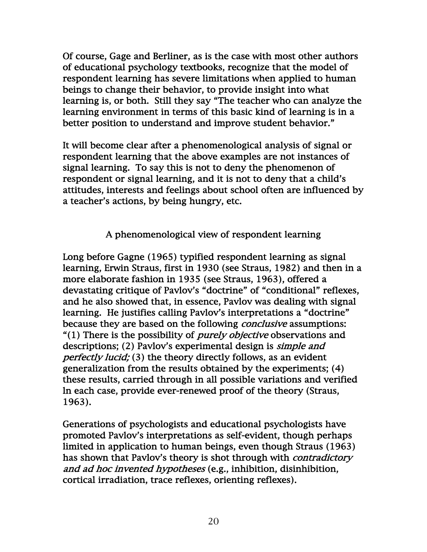Of course, Gage and Berliner, as is the case with most other authors of educational psychology textbooks, recognize that the model of respondent learning has severe limitations when applied to human beings to change their behavior, to provide insight into what learning is, or both. Still they say "The teacher who can analyze the learning environment in terms of this basic kind of learning is in a better position to understand and improve student behavior."

It will become clear after a phenomenological analysis of signal or respondent learning that the above examples are not instances of signal learning. To say this is not to deny the phenomenon of respondent or signal learning, and it is not to deny that a child's attitudes, interests and feelings about school often are influenced by a teacher's actions, by being hungry, etc.

# A phenomenological view of respondent learning

Long before Gagne (1965) typified respondent learning as signal learning, Erwin Straus, first in 1930 (see Straus, 1982) and then in a more elaborate fashion in 1935 (see Straus, 1963), offered a devastating critique of Pavlov's "doctrine" of "conditional" reflexes, and he also showed that, in essence, Pavlov was dealing with signal learning. He justifies calling Pavlov's interpretations a "doctrine" because they are based on the following *conclusive* assumptions: "(1) There is the possibility of *purely objective* observations and descriptions; (2) Pavlov's experimental design is simple and perfectly lucid; (3) the theory directly follows, as an evident generalization from the results obtained by the experiments; (4) these results, carried through in all possible variations and verified ln each case, provide ever-renewed proof of the theory (Straus, 1963).

Generations of psychologists and educational psychologists have promoted Pavlov's interpretations as self-evident, though perhaps limited in application to human beings, even though Straus (1963) has shown that Pavlov's theory is shot through with *contradictory* and ad hoc invented hypotheses (e.g., inhibition, disinhibition, cortical irradiation, trace reflexes, orienting reflexes).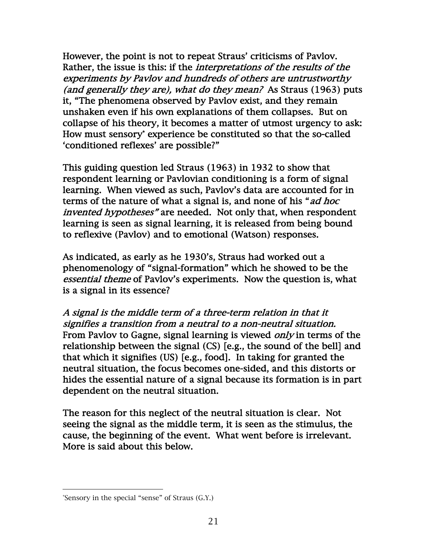However, the point is not to repeat Straus' criticisms of Pavlov. Rather, the issue is this: if the interpretations of the results of the experiments by Pavlov and hundreds of others are untrustworthy (and generally they are), what do they mean? As Straus (1963) puts it, "The phenomena observed by Pavlov exist, and they remain unshaken even if his own explanations of them collapses. But on collapse of his theory, it becomes a matter of utmost urgency to ask: How must sensory\* experience be constituted so that the so-called 'conditioned reflexes' are possible?"

This guiding question led Straus (1963) in 1932 to show that respondent learning or Pavlovian conditioning is a form of signal learning. When viewed as such, Pavlov's data are accounted for in terms of the nature of what a signal is, and none of his "ad hoc invented hypotheses" are needed. Not only that, when respondent learning is seen as signal learning, it is released from being bound to reflexive (Pavlov) and to emotional (Watson) responses.

As indicated, as early as he 1930's, Straus had worked out a phenomenology of "signal-formation" which he showed to be the essential theme of Pavlov's experiments. Now the question is, what is a signal in its essence?

A signal is the middle term of a three-term relation in that it signifies a transition from a neutral to a non-neutral situation. From Pavlov to Gagne, signal learning is viewed *only* in terms of the relationship between the signal (CS) [e.g., the sound of the bell] and that which it signifies (US) [e.g., food]. In taking for granted the neutral situation, the focus becomes one-sided, and this distorts or hides the essential nature of a signal because its formation is in part dependent on the neutral situation.

The reason for this neglect of the neutral situation is clear. Not seeing the signal as the middle term, it is seen as the stimulus, the cause, the beginning of the event. What went before is irrelevant. More is said about this below.

<sup>\*</sup> Sensory in the special "sense" of Straus (G.Y.)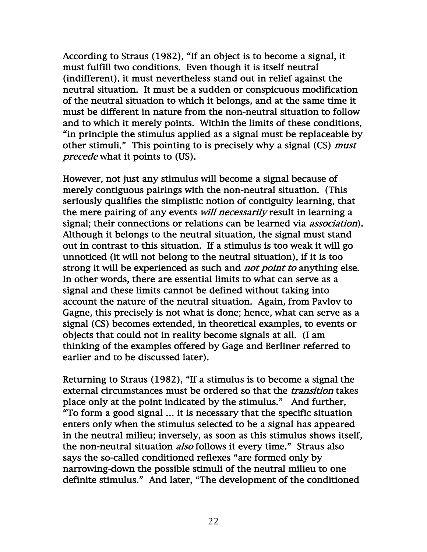According to Straus (1982), "If an object is to become a signal, it must fulfill two conditions. Even though it is itself neutral (indifferent). it must nevertheless stand out in relief against the neutral situation. It must be a sudden or conspicuous modification of the neutral situation to which it belongs, and at the same time it must be different in nature from the non-neutral situation to follow and to which it merely points. Within the limits of these conditions, "in principle the stimulus applied as a signal must be replaceable by other stimuli." This pointing to is precisely why a signal (CS) *must* precede what it points to (US).

However, not just any stimulus will become a signal because of merely contiguous pairings with the non-neutral situation. (This seriously qualifies the simplistic notion of contiguity learning, that the mere pairing of any events *will necessarily* result in learning a signal; their connections or relations can be learned via *association*). Although it belongs to the neutral situation, the signal must stand out in contrast to this situation. If a stimulus is too weak it will go unnoticed (it will not belong to the neutral situation), if it is too strong it will be experienced as such and *not point to* anything else. In other words, there are essential limits to what can serve as a signal and these limits cannot be defined without taking into account the nature of the neutral situation. Again, from Pavlov to Gagne, this precisely is not what is done; hence, what can serve as a signal (CS) becomes extended, in theoretical examples, to events or objects that could not in reality become signals at all. (I am thinking of the examples offered by Gage and Berliner referred to earlier and to be discussed later).

Returning to Straus (1982), "If a stimulus is to become a signal the external circumstances must be ordered so that the *transition* takes place only at the point indicated by the stimulus." And further, "To form a good signal … it is necessary that the specific situation enters only when the stimulus selected to be a signal has appeared in the neutral milieu; inversely, as soon as this stimulus shows itself, the non-neutral situation *also* follows it every time." Straus also says the so-called conditioned reflexes "are formed only by narrowing-down the possible stimuli of the neutral milieu to one definite stimulus." And later, "The development of the conditioned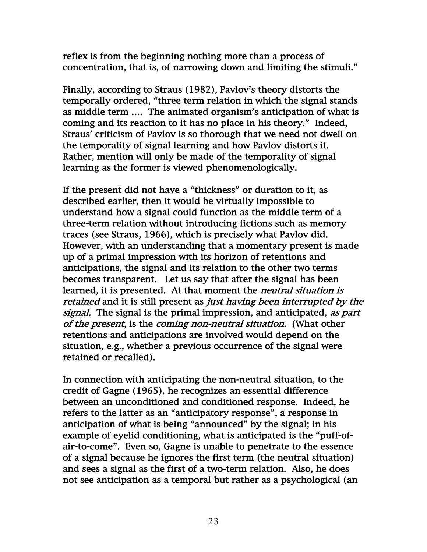reflex is from the beginning nothing more than a process of concentration, that is, of narrowing down and limiting the stimuli."

Finally, according to Straus (1982), Pavlov's theory distorts the temporally ordered, "three term relation in which the signal stands as middle term …. The animated organism's anticipation of what is coming and its reaction to it has no place in his theory." Indeed, Straus' criticism of Pavlov is so thorough that we need not dwell on the temporality of signal learning and how Pavlov distorts it. Rather, mention will only be made of the temporality of signal learning as the former is viewed phenomenologically.

If the present did not have a "thickness" or duration to it, as described earlier, then it would be virtually impossible to understand how a signal could function as the middle term of a three-term relation without introducing fictions such as memory traces (see Straus, 1966), which is precisely what Pavlov did. However, with an understanding that a momentary present is made up of a primal impression with its horizon of retentions and anticipations, the signal and its relation to the other two terms becomes transparent. Let us say that after the signal has been learned, it is presented. At that moment the *neutral situation is* retained and it is still present as *just having been interrupted by the* signal. The signal is the primal impression, and anticipated, as part of the present, is the coming non-neutral situation. (What other retentions and anticipations are involved would depend on the situation, e.g., whether a previous occurrence of the signal were retained or recalled).

In connection with anticipating the non-neutral situation, to the credit of Gagne (1965), he recognizes an essential difference between an unconditioned and conditioned response. Indeed, he refers to the latter as an "anticipatory response", a response in anticipation of what is being "announced" by the signal; in his example of eyelid conditioning, what is anticipated is the "puff-ofair-to-come". Even so, Gagne is unable to penetrate to the essence of a signal because he ignores the first term (the neutral situation) and sees a signal as the first of a two-term relation. Also, he does not see anticipation as a temporal but rather as a psychological (an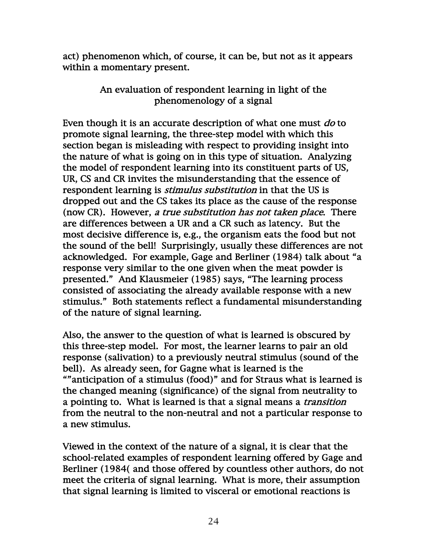act) phenomenon which, of course, it can be, but not as it appears within a momentary present.

# An evaluation of respondent learning in light of the phenomenology of a signal

Even though it is an accurate description of what one must do to promote signal learning, the three-step model with which this section began is misleading with respect to providing insight into the nature of what is going on in this type of situation. Analyzing the model of respondent learning into its constituent parts of US, UR, CS and CR invites the misunderstanding that the essence of respondent learning is *stimulus substitution* in that the US is dropped out and the CS takes its place as the cause of the response (now CR). However, a true substitution has not taken place. There are differences between a UR and a CR such as latency. But the most decisive difference is, e.g., the organism eats the food but not the sound of the bell! Surprisingly, usually these differences are not acknowledged. For example, Gage and Berliner (1984) talk about "a response very similar to the one given when the meat powder is presented." And Klausmeier (1985) says, "The learning process consisted of associating the already available response with a new stimulus." Both statements reflect a fundamental misunderstanding of the nature of signal learning.

Also, the answer to the question of what is learned is obscured by this three-step model. For most, the learner learns to pair an old response (salivation) to a previously neutral stimulus (sound of the bell). As already seen, for Gagne what is learned is the ""anticipation of a stimulus (food)" and for Straus what is learned is the changed meaning (significance) of the signal from neutrality to a pointing to. What is learned is that a signal means a transition from the neutral to the non-neutral and not a particular response to a new stimulus.

Viewed in the context of the nature of a signal, it is clear that the school-related examples of respondent learning offered by Gage and Berliner (1984( and those offered by countless other authors, do not meet the criteria of signal learning. What is more, their assumption that signal learning is limited to visceral or emotional reactions is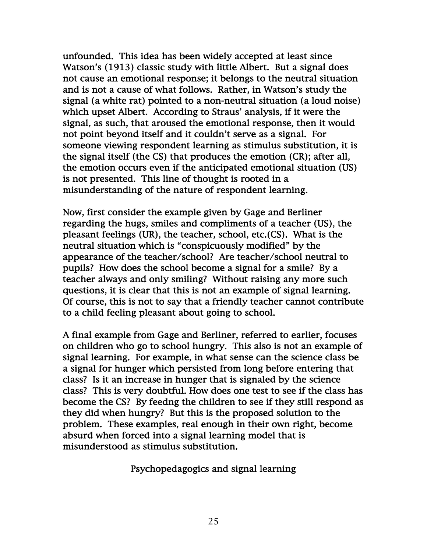unfounded. This idea has been widely accepted at least since Watson's (1913) classic study with little Albert. But a signal does not cause an emotional response; it belongs to the neutral situation and is not a cause of what follows. Rather, in Watson's study the signal (a white rat) pointed to a non-neutral situation (a loud noise) which upset Albert. According to Straus' analysis, if it were the signal, as such, that aroused the emotional response, then it would not point beyond itself and it couldn't serve as a signal. For someone viewing respondent learning as stimulus substitution, it is the signal itself (the CS) that produces the emotion (CR); after all, the emotion occurs even if the anticipated emotional situation (US) is not presented. This line of thought is rooted in a misunderstanding of the nature of respondent learning.

Now, first consider the example given by Gage and Berliner regarding the hugs, smiles and compliments of a teacher (US), the pleasant feelings (UR), the teacher, school, etc.(CS). What is the neutral situation which is "conspicuously modified" by the appearance of the teacher/school? Are teacher/school neutral to pupils? How does the school become a signal for a smile? By a teacher always and only smiling? Without raising any more such questions, it is clear that this is not an example of signal learning. Of course, this is not to say that a friendly teacher cannot contribute to a child feeling pleasant about going to school.

A final example from Gage and Berliner, referred to earlier, focuses on children who go to school hungry. This also is not an example of signal learning. For example, in what sense can the science class be a signal for hunger which persisted from long before entering that class? Is it an increase in hunger that is signaled by the science class? This is very doubtful. How does one test to see if the class has become the CS? By feedng the children to see if they still respond as they did when hungry? But this is the proposed solution to the problem. These examples, real enough in their own right, become absurd when forced into a signal learning model that is misunderstood as stimulus substitution.

Psychopedagogics and signal learning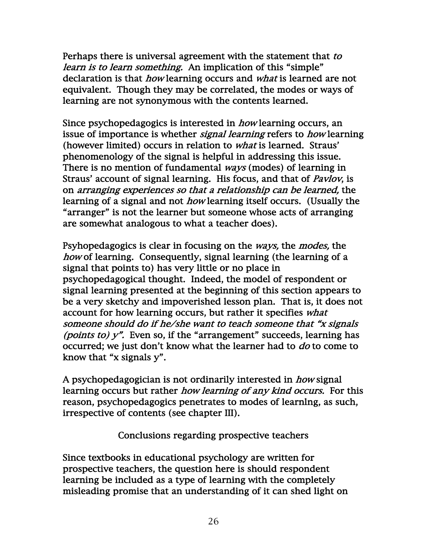Perhaps there is universal agreement with the statement that to learn is to learn something. An implication of this "simple" declaration is that *how* learning occurs and *what* is learned are not equivalent. Though they may be correlated, the modes or ways of learning are not synonymous with the contents learned.

Since psychopedagogics is interested in *how* learning occurs, an issue of importance is whether *signal learning* refers to *how* learning (however limited) occurs in relation to what is learned. Straus' phenomenology of the signal is helpful in addressing this issue. There is no mention of fundamental ways (modes) of learning in Straus' account of signal learning. His focus, and that of Pavlov, is on arranging experiences so that a relationship can be learned, the learning of a signal and not *how* learning itself occurs. (Usually the "arranger" is not the learner but someone whose acts of arranging are somewhat analogous to what a teacher does).

Psyhopedagogics is clear in focusing on the *ways*, the *modes*, the how of learning. Consequently, signal learning (the learning of a signal that points to) has very little or no place in psychopedagogical thought. Indeed, the model of respondent or signal learning presented at the beginning of this section appears to be a very sketchy and impoverished lesson plan. That is, it does not account for how learning occurs, but rather it specifies what someone should do if he/she want to teach someone that "x signals (*points to*)  $y$ ". Even so, if the "arrangement" succeeds, learning has occurred; we just don't know what the learner had to do to come to know that "x signals y".

A psychopedagogician is not ordinarily interested in how signal learning occurs but rather *how learning of any kind occurs*. For this reason, psychopedagogics penetrates to modes of learnlng, as such, irrespective of contents (see chapter III).

Conclusions regarding prospective teachers

Since textbooks in educational psychology are written for prospective teachers, the question here is should respondent learning be included as a type of learning with the completely misleading promise that an understanding of it can shed light on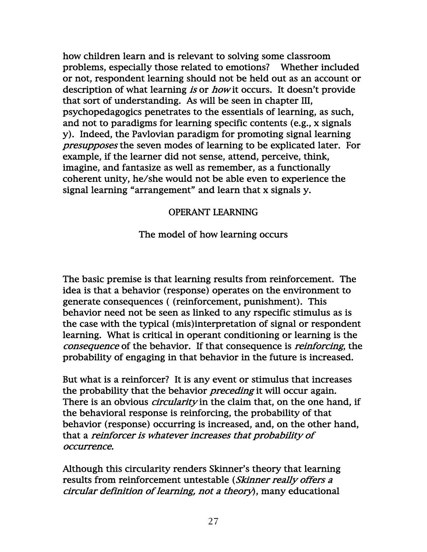how children learn and is relevant to solving some classroom problems, especially those related to emotions? Whether included or not, respondent learning should not be held out as an account or description of what learning is or how it occurs. It doesn't provide that sort of understanding. As will be seen in chapter III, psychopedagogics penetrates to the essentials of learning, as such, and not to paradigms for learning specific contents (e.g., x signals y). Indeed, the Pavlovian paradigm for promoting signal learning presupposes the seven modes of learning to be explicated later. For example, if the learner did not sense, attend, perceive, think, imagine, and fantasize as well as remember, as a functionally coherent unity, he/she would not be able even to experience the signal learning "arrangement" and learn that x signals y.

# OPERANT LEARNING

The model of how learning occurs

The basic premise is that learning results from reinforcement. The idea is that a behavior (response) operates on the environment to generate consequences ( (reinforcement, punishment). This behavior need not be seen as linked to any rspecific stimulus as is the case with the typical (mis)interpretation of signal or respondent learning. What is critical in operant conditioning or learning is the consequence of the behavior. If that consequence is reinforcing, the probability of engaging in that behavior in the future is increased.

But what is a reinforcer? It is any event or stimulus that increases the probability that the behavior *preceding* it will occur again. There is an obvious *circularity* in the claim that, on the one hand, if the behavioral response is reinforcing, the probability of that behavior (response) occurring is increased, and, on the other hand, that a reinforcer is whatever increases that probability of occurrence.

Although this circularity renders Skinner's theory that learning results from reinforcement untestable (Skinner really offers a circular definition of learning, not a theory), many educational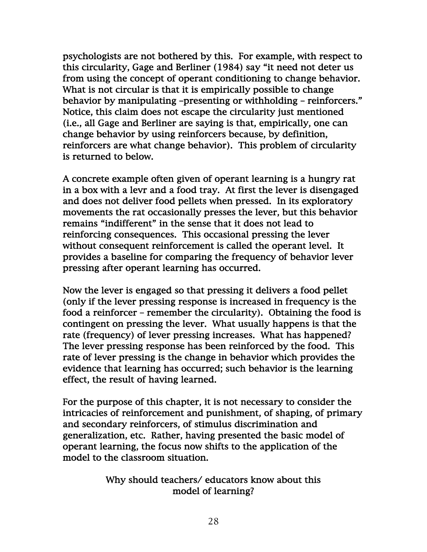psychologists are not bothered by this. For example, with respect to this circularity, Gage and Berliner (1984) say "it need not deter us from using the concept of operant conditioning to change behavior. What is not circular is that it is empirically possible to change behavior by manipulating –presenting or withholding – reinforcers." Notice, this claim does not escape the circularity just mentioned (i.e., all Gage and Berliner are saying is that, empirically, one can change behavior by using reinforcers because, by definition, reinforcers are what change behavior). This problem of circularity is returned to below.

A concrete example often given of operant learning is a hungry rat in a box with a levr and a food tray. At first the lever is disengaged and does not deliver food pellets when pressed. In its exploratory movements the rat occasionally presses the lever, but this behavior remains "indifferent" in the sense that it does not lead to reinforcing consequences. This occasional pressing the lever without consequent reinforcement is called the operant level. It provides a baseline for comparing the frequency of behavior lever pressing after operant learning has occurred.

Now the lever is engaged so that pressing it delivers a food pellet (only if the lever pressing response is increased in frequency is the food a reinforcer – remember the circularity). Obtaining the food is contingent on pressing the lever. What usually happens is that the rate (frequency) of lever pressing increases. What has happened? The lever pressing response has been reinforced by the food. This rate of lever pressing is the change in behavior which provides the evidence that learning has occurred; such behavior is the learning effect, the result of having learned.

For the purpose of this chapter, it is not necessary to consider the intricacies of reinforcement and punishment, of shaping, of primary and secondary reinforcers, of stimulus discrimination and generalization, etc. Rather, having presented the basic model of operant learning, the focus now shifts to the application of the model to the classroom situation.

> Why should teachers/ educators know about this model of learning?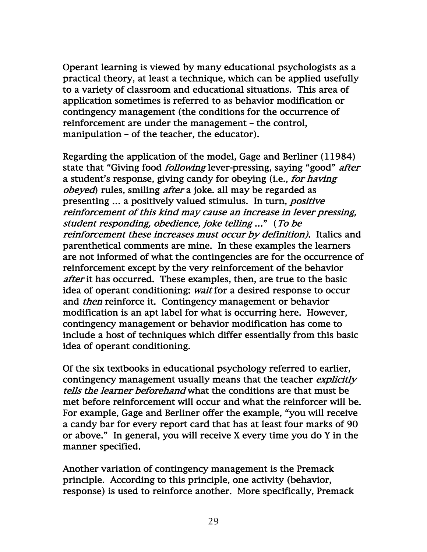Operant learning is viewed by many educational psychologists as a practical theory, at least a technique, which can be applied usefully to a variety of classroom and educational situations. This area of application sometimes is referred to as behavior modification or contingency management (the conditions for the occurrence of reinforcement are under the management – the control, manipulation – of the teacher, the educator).

Regarding the application of the model, Gage and Berliner (11984) state that "Giving food *following* lever-pressing, saying "good" *after* a student's response, giving candy for obeying (i.e., for having obeyed) rules, smiling after a joke. all may be regarded as presenting … a positively valued stimulus. In turn, positive reinforcement of this kind may cause an increase in lever pressing, student responding, obedience, joke telling …" (To be reinforcement these increases must occur by definition). Italics and parenthetical comments are mine. In these examples the learners are not informed of what the contingencies are for the occurrence of reinforcement except by the very reinforcement of the behavior after it has occurred. These examples, then, are true to the basic idea of operant conditioning: wait for a desired response to occur and *then* reinforce it. Contingency management or behavior modification is an apt label for what is occurring here. However, contingency management or behavior modification has come to include a host of techniques which differ essentially from this basic idea of operant conditioning.

Of the six textbooks in educational psychology referred to earlier, contingency management usually means that the teacher *explicitly* tells the learner beforehand what the conditions are that must be met before reinforcement will occur and what the reinforcer will be. For example, Gage and Berliner offer the example, "you will receive a candy bar for every report card that has at least four marks of 90 or above." In general, you will receive X every time you do Y in the manner specified.

Another variation of contingency management is the Premack principle. According to this principle, one activity (behavior, response) is used to reinforce another. More specifically, Premack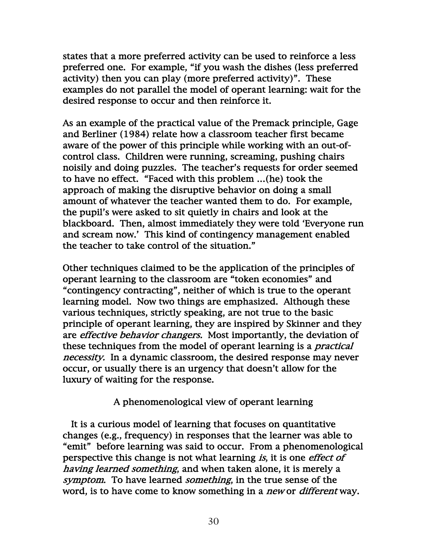states that a more preferred activity can be used to reinforce a less preferred one. For example, "if you wash the dishes (less preferred activity) then you can play (more preferred activity)". These examples do not parallel the model of operant learning: wait for the desired response to occur and then reinforce it.

As an example of the practical value of the Premack principle, Gage and Berliner (1984) relate how a classroom teacher first became aware of the power of this principle while working with an out-ofcontrol class. Children were running, screaming, pushing chairs noisily and doing puzzles. The teacher's requests for order seemed to have no effect. "Faced with this problem …(he) took the approach of making the disruptive behavior on doing a small amount of whatever the teacher wanted them to do. For example, the pupil's were asked to sit quietly in chairs and look at the blackboard. Then, almost immediately they were told 'Everyone run and scream now.' This kind of contingency management enabled the teacher to take control of the situation."

Other techniques claimed to be the application of the principles of operant learning to the classroom are "token economies" and "contingency contracting", neither of which is true to the operant learning model. Now two things are emphasized. Although these various techniques, strictly speaking, are not true to the basic principle of operant learning, they are inspired by Skinner and they are *effective behavior changers*. Most importantly, the deviation of these techniques from the model of operant learning is a practical necessity. In a dynamic classroom, the desired response may never occur, or usually there is an urgency that doesn't allow for the luxury of waiting for the response.

# A phenomenological view of operant learning

 It is a curious model of learning that focuses on quantitative changes (e.g., frequency) in responses that the learner was able to "emit" before learning was said to occur. From a phenomenological perspective this change is not what learning is, it is one *effect of* having learned something, and when taken alone, it is merely a symptom. To have learned something, in the true sense of the word, is to have come to know something in a *new* or *different* way.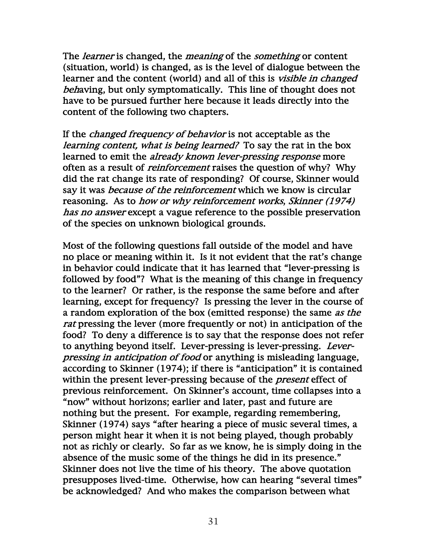The *learner* is changed, the *meaning* of the *something* or content (situation, world) is changed, as is the level of dialogue between the learner and the content (world) and all of this is visible in changed behaving, but only symptomatically. This line of thought does not have to be pursued further here because it leads directly into the content of the following two chapters.

If the *changed frequency of behavior* is not acceptable as the learning content, what is being learned? To say the rat in the box learned to emit the *already known lever-pressing response* more often as a result of *reinforcement* raises the question of why? Why did the rat change its rate of responding? Of course, Skinner would say it was *because of the reinforcement* which we know is circular reasoning. As to how or why reinforcement works, Skinner (1974) has no answer except a vague reference to the possible preservation of the species on unknown biological grounds.

Most of the following questions fall outside of the model and have no place or meaning within it. Is it not evident that the rat's change in behavior could indicate that it has learned that "lever-pressing is followed by food"? What is the meaning of this change in frequency to the learner? Or rather, is the response the same before and after learning, except for frequency? Is pressing the lever in the course of a random exploration of the box (emitted response) the same as the rat pressing the lever (more frequently or not) in anticipation of the food? To deny a difference is to say that the response does not refer to anything beyond itself. Lever-pressing is lever-pressing. Leverpressing in anticipation of food or anything is misleading language, according to Skinner (1974); if there is "anticipation" it is contained within the present lever-pressing because of the *present* effect of previous reinforcement. On Skinner's account, time collapses into a "now" without horizons; earlier and later, past and future are nothing but the present. For example, regarding remembering, Skinner (1974) says "after hearing a piece of music several times, a person might hear it when it is not being played, though probably not as richly or clearly. So far as we know, he is simply doing in the absence of the music some of the things he did in its presence." Skinner does not live the time of his theory. The above quotation presupposes lived-time. Otherwise, how can hearing "several times" be acknowledged? And who makes the comparison between what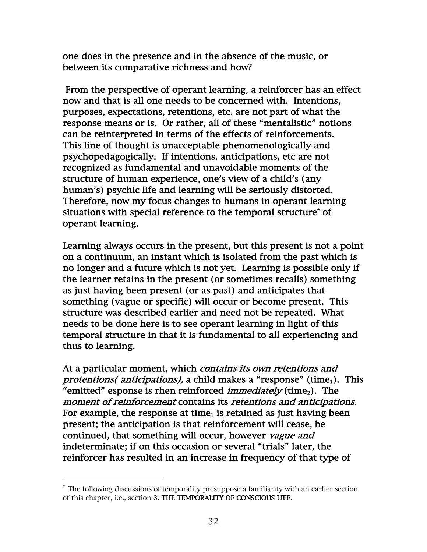one does in the presence and in the absence of the music, or between its comparative richness and how?

 From the perspective of operant learning, a reinforcer has an effect now and that is all one needs to be concerned with. Intentions, purposes, expectations, retentions, etc. are not part of what the response means or is. Or rather, all of these "mentalistic" notions can be reinterpreted in terms of the effects of reinforcements. This line of thought is unacceptable phenomenologically and psychopedagogically. If intentions, anticipations, etc are not recognized as fundamental and unavoidable moments of the structure of human experience, one's view of a child's (any human's) psychic life and learning will be seriously distorted. Therefore, now my focus changes to humans in operant learning situations with special reference to the temporal structure\* of operant learning.

Learning always occurs in the present, but this present is not a point on a continuum, an instant which is isolated from the past which is no longer and a future which is not yet. Learning is possible only if the learner retains in the present (or sometimes recalls) something as just having been present (or as past) and anticipates that something (vague or specific) will occur or become present. This structure was described earlier and need not be repeated. What needs to be done here is to see operant learning in light of this temporal structure in that it is fundamental to all experiencing and thus to learning.

At a particular moment, which *contains its own retentions and* protentions( anticipations), a child makes a "response" (time<sub>1</sub>). This "emitted" esponse is rhen reinforced *immediately* (time<sub>2</sub>). The moment of reinforcement contains its retentions and anticipations. For example, the response at time<sub>1</sub> is retained as just having been present; the anticipation is that reinforcement will cease, be continued, that something will occur, however *vague and* indeterminate; if on this occasion or several "trials" later, the reinforcer has resulted in an increase in frequency of that type of

<sup>\*</sup> The following discussions of temporality presuppose a familiarity with an earlier section of this chapter, i.e., section 3. THE TEMPORALITY OF CONSCIOUS LIFE.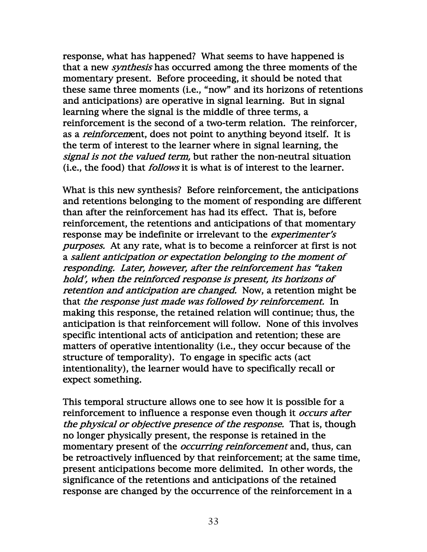response, what has happened? What seems to have happened is that a new *synthesis* has occurred among the three moments of the momentary present. Before proceeding, it should be noted that these same three moments (i.e., "now" and its horizons of retentions and anticipations) are operative in signal learning. But in signal learning where the signal is the middle of three terms, a reinforcement is the second of a two-term relation. The reinforcer, as a *reinforcem*ent, does not point to anything beyond itself. It is the term of interest to the learner where in signal learning, the signal is not the valued term, but rather the non-neutral situation (i.e., the food) that follows it is what is of interest to the learner.

What is this new synthesis? Before reinforcement, the anticipations and retentions belonging to the moment of responding are different than after the reinforcement has had its effect. That is, before reinforcement, the retentions and anticipations of that momentary response may be indefinite or irrelevant to the *experimenter's* purposes. At any rate, what is to become a reinforcer at first is not a salient anticipation or expectation belonging to the moment of responding. Later, however, after the reinforcement has "taken hold', when the reinforced response is present, its horizons of retention and anticipation are changed. Now, a retention might be that the response just made was followed by reinforcement. In making this response, the retained relation will continue; thus, the anticipation is that reinforcement will follow. None of this involves specific intentional acts of anticipation and retention; these are matters of operative intentionality (i.e., they occur because of the structure of temporality). To engage in specific acts (act intentionality), the learner would have to specifically recall or expect something.

This temporal structure allows one to see how it is possible for a reinforcement to influence a response even though it *occurs after* the physical or objective presence of the response. That is, though no longer physically present, the response is retained in the momentary present of the *occurring reinforcement* and, thus, can be retroactively influenced by that reinforcement; at the same time, present anticipations become more delimited. In other words, the significance of the retentions and anticipations of the retained response are changed by the occurrence of the reinforcement in a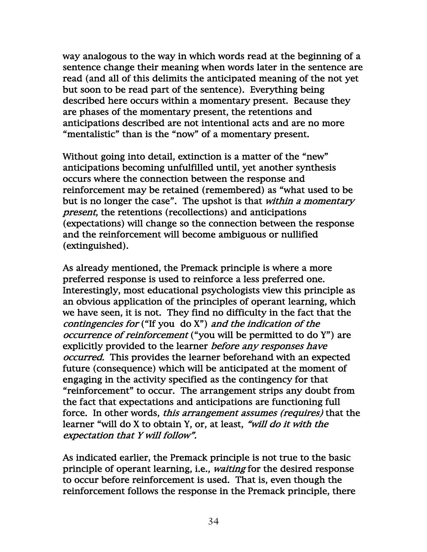way analogous to the way in which words read at the beginning of a sentence change their meaning when words later in the sentence are read (and all of this delimits the anticipated meaning of the not yet but soon to be read part of the sentence). Everything being described here occurs within a momentary present. Because they are phases of the momentary present, the retentions and anticipations described are not intentional acts and are no more "mentalistic" than is the "now" of a momentary present.

Without going into detail, extinction is a matter of the "new" anticipations becoming unfulfilled until, yet another synthesis occurs where the connection between the response and reinforcement may be retained (remembered) as "what used to be but is no longer the case". The upshot is that within a momentary present, the retentions (recollections) and anticipations (expectations) will change so the connection between the response and the reinforcement will become ambiguous or nullified (extinguished).

As already mentioned, the Premack principle is where a more preferred response is used to reinforce a less preferred one. Interestingly, most educational psychologists view this principle as an obvious application of the principles of operant learning, which we have seen, it is not. They find no difficulty in the fact that the contingencies for ("If you do X") and the indication of the occurrence of reinforcement ("you will be permitted to do Y") are explicitly provided to the learner *before any responses have* occurred. This provides the learner beforehand with an expected future (consequence) which will be anticipated at the moment of engaging in the activity specified as the contingency for that "reinforcement" to occur. The arrangement strips any doubt from the fact that expectations and anticipations are functioning full force. In other words, *this arrangement assumes (requires)* that the learner "will do X to obtain Y, or, at least, "will do it with the expectation that Y will follow".

As indicated earlier, the Premack principle is not true to the basic principle of operant learning, i.e., waiting for the desired response to occur before reinforcement is used. That is, even though the reinforcement follows the response in the Premack principle, there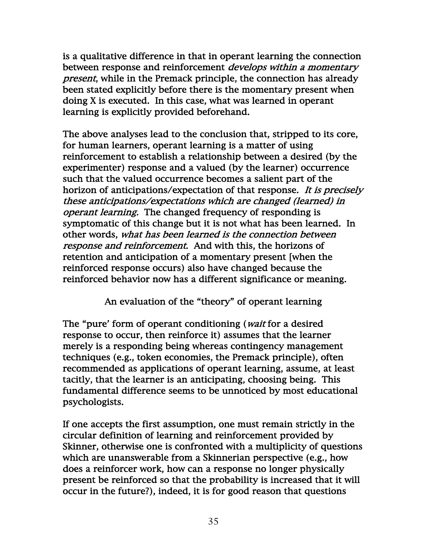is a qualitative difference in that in operant learning the connection between response and reinforcement *develops within a momentary* present, while in the Premack principle, the connection has already been stated explicitly before there is the momentary present when doing X is executed. In this case, what was learned in operant learning is explicitly provided beforehand.

The above analyses lead to the conclusion that, stripped to its core, for human learners, operant learning is a matter of using reinforcement to establish a relationship between a desired (by the experimenter) response and a valued (by the learner) occurrence such that the valued occurrence becomes a salient part of the horizon of anticipations/expectation of that response. It is precisely these anticipations/expectations which are changed (learned) in operant learning. The changed frequency of responding is symptomatic of this change but it is not what has been learned. In other words, what has been learned is the connection between response and reinforcement. And with this, the horizons of retention and anticipation of a momentary present [when the reinforced response occurs) also have changed because the reinforced behavior now has a different significance or meaning.

An evaluation of the "theory" of operant learning

The "pure' form of operant conditioning (*wait* for a desired response to occur, then reinforce it) assumes that the learner merely is a responding being whereas contingency management techniques (e.g., token economies, the Premack principle), often recommended as applications of operant learning, assume, at least tacitly, that the learner is an anticipating, choosing being. This fundamental difference seems to be unnoticed by most educational psychologists.

If one accepts the first assumption, one must remain strictly in the circular definition of learning and reinforcement provided by Skinner, otherwise one is confronted with a multiplicity of questions which are unanswerable from a Skinnerian perspective (e.g., how does a reinforcer work, how can a response no longer physically present be reinforced so that the probability is increased that it will occur in the future?), indeed, it is for good reason that questions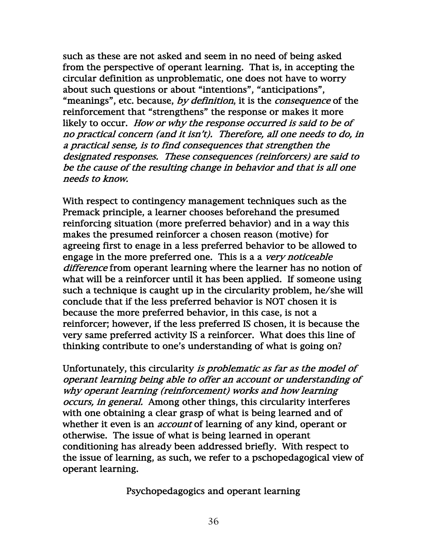such as these are not asked and seem in no need of being asked from the perspective of operant learning. That is, in accepting the circular definition as unproblematic, one does not have to worry about such questions or about "intentions", "anticipations", "meanings", etc. because, by definition, it is the *consequence* of the reinforcement that "strengthens" the response or makes it more likely to occur. How or why the response occurred is said to be of no practical concern (and it isn't). Therefore, all one needs to do, in a practical sense, is to find consequences that strengthen the designated responses. These consequences (reinforcers) are said to be the cause of the resulting change in behavior and that is all one needs to know.

With respect to contingency management techniques such as the Premack principle, a learner chooses beforehand the presumed reinforcing situation (more preferred behavior) and in a way this makes the presumed reinforcer a chosen reason (motive) for agreeing first to enage in a less preferred behavior to be allowed to engage in the more preferred one. This is a a very noticeable difference from operant learning where the learner has no notion of what will be a reinforcer until it has been applied. If someone using such a technique is caught up in the circularity problem, he/she will conclude that if the less preferred behavior is NOT chosen it is because the more preferred behavior, in this case, is not a reinforcer; however, if the less preferred IS chosen, it is because the very same preferred activity IS a reinforcer. What does this line of thinking contribute to one's understanding of what is going on?

Unfortunately, this circularity is problematic as far as the model of operant learning being able to offer an account or understanding of why operant learning (reinforcement) works and how learning occurs, in general. Among other things, this circularity interferes with one obtaining a clear grasp of what is being learned and of whether it even is an *account* of learning of any kind, operant or otherwise. The issue of what is being learned in operant conditioning has already been addressed briefly. With respect to the issue of learning, as such, we refer to a pschopedagogical view of operant learning.

Psychopedagogics and operant learning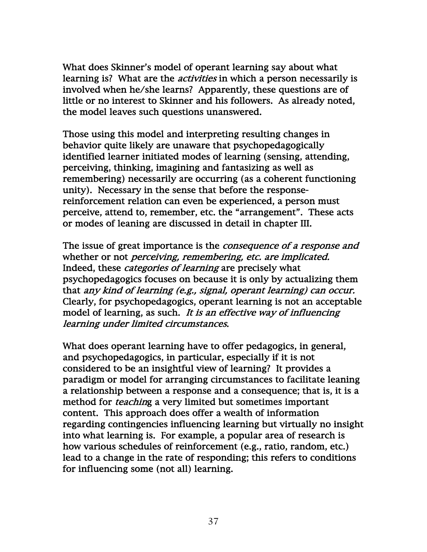What does Skinner's model of operant learning say about what learning is? What are the *activities* in which a person necessarily is involved when he/she learns? Apparently, these questions are of little or no interest to Skinner and his followers. As already noted, the model leaves such questions unanswered.

Those using this model and interpreting resulting changes in behavior quite likely are unaware that psychopedagogically identified learner initiated modes of learning (sensing, attending, perceiving, thinking, imagining and fantasizing as well as remembering) necessarily are occurring (as a coherent functioning unity). Necessary in the sense that before the responsereinforcement relation can even be experienced, a person must perceive, attend to, remember, etc. the "arrangement". These acts or modes of leaning are discussed in detail in chapter III.

The issue of great importance is the *consequence of a response and* whether or not *perceiving*, remembering, etc. are implicated. Indeed, these categories of learning are precisely what psychopedagogics focuses on because it is only by actualizing them that any kind of learning (e.g., signal, operant learning) can occur. Clearly, for psychopedagogics, operant learning is not an acceptable model of learning, as such. It is an effective way of influencing learning under limited circumstances.

What does operant learning have to offer pedagogics, in general, and psychopedagogics, in particular, especially if it is not considered to be an insightful view of learning? It provides a paradigm or model for arranging circumstances to facilitate leaning a relationship between a response and a consequence; that is, it is a method for *teachin*g a very limited but sometimes important content. This approach does offer a wealth of information regarding contingencies influencing learning but virtually no insight into what learning is. For example, a popular area of research is how various schedules of reinforcement (e.g., ratio, random, etc.) lead to a change in the rate of responding; this refers to conditions for influencing some (not all) learning.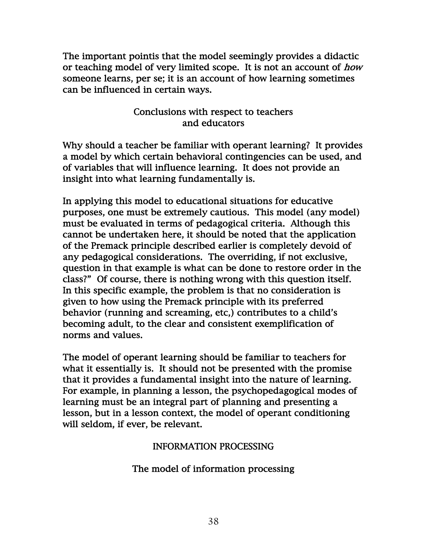The important pointis that the model seemingly provides a didactic or teaching model of very limited scope. It is not an account of how someone learns, per se; it is an account of how learning sometimes can be influenced in certain ways.

# Conclusions with respect to teachers and educators

Why should a teacher be familiar with operant learning? It provides a model by which certain behavioral contingencies can be used, and of variables that will influence learning. It does not provide an insight into what learning fundamentally is.

In applying this model to educational situations for educative purposes, one must be extremely cautious. This model (any model) must be evaluated in terms of pedagogical criteria. Although this cannot be undertaken here, it should be noted that the application of the Premack principle described earlier is completely devoid of any pedagogical considerations. The overriding, if not exclusive, question in that example is what can be done to restore order in the class?" Of course, there is nothing wrong with this question itself. In this specific example, the problem is that no consideration is given to how using the Premack principle with its preferred behavior (running and screaming, etc,) contributes to a child's becoming adult, to the clear and consistent exemplification of norms and values.

The model of operant learning should be familiar to teachers for what it essentially is. It should not be presented with the promise that it provides a fundamental insight into the nature of learning. For example, in planning a lesson, the psychopedagogical modes of learning must be an integral part of planning and presenting a lesson, but in a lesson context, the model of operant conditioning will seldom, if ever, be relevant.

### INFORMATION PROCESSING

The model of information processing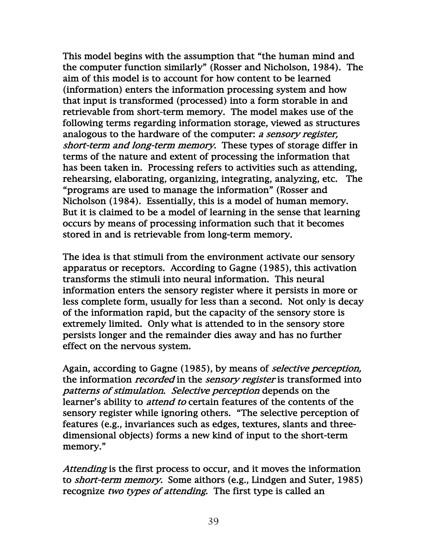This model begins with the assumption that "the human mind and the computer function similarly" (Rosser and Nicholson, 1984). The aim of this model is to account for how content to be learned (information) enters the information processing system and how that input is transformed (processed) into a form storable in and retrievable from short-term memory. The model makes use of the following terms regarding information storage, viewed as structures analogous to the hardware of the computer: a sensory register, short-term and long-term memory. These types of storage differ in terms of the nature and extent of processing the information that has been taken in. Processing refers to activities such as attending, rehearsing, elaborating, organizing, integrating, analyzing, etc. The "programs are used to manage the information" (Rosser and Nicholson (1984). Essentially, this is a model of human memory. But it is claimed to be a model of learning in the sense that learning occurs by means of processing information such that it becomes stored in and is retrievable from long-term memory.

The idea is that stimuli from the environment activate our sensory apparatus or receptors. According to Gagne (1985), this activation transforms the stimuli into neural information. This neural information enters the sensory register where it persists in more or less complete form, usually for less than a second. Not only is decay of the information rapid, but the capacity of the sensory store is extremely limited. Only what is attended to in the sensory store persists longer and the remainder dies away and has no further effect on the nervous system.

Again, according to Gagne (1985), by means of *selective perception*, the information *recorded* in the *sensory register* is transformed into patterns of stimulation. Selective perception depends on the learner's ability to *attend to* certain features of the contents of the sensory register while ignoring others. "The selective perception of features (e.g., invariances such as edges, textures, slants and threedimensional objects) forms a new kind of input to the short-term memory."

Attending is the first process to occur, and it moves the information to short-term memory. Some aithors (e.g., Lindgen and Suter, 1985) recognize two types of attending. The first type is called an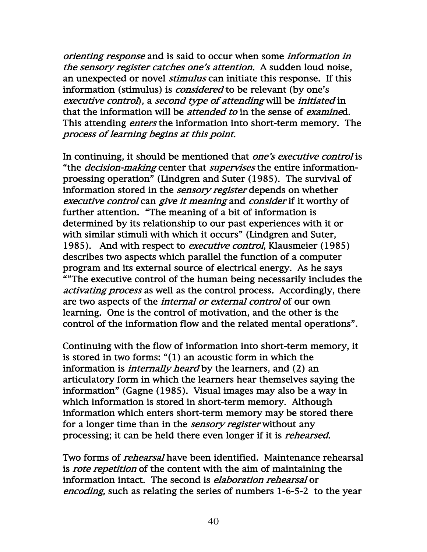orienting response and is said to occur when some information in the sensory register catches one's attention. A sudden loud noise, an unexpected or novel *stimulus* can initiate this response. If this information (stimulus) is *considered* to be relevant (by one's executive control), a second type of attending will be initiated in that the information will be *attended to* in the sense of *examine*d. This attending *enters* the information into short-term memory. The process of learning begins at this point.

In continuing, it should be mentioned that *one's executive control* is "the *decision-making* center that *supervises* the entire informationproessing operation" (Lindgren and Suter (1985). The survival of information stored in the *sensory register* depends on whether executive control can give it meaning and consider if it worthy of further attention. "The meaning of a bit of information is determined by its relationship to our past experiences with it or with similar stimuli with which it occurs" (Lindgren and Suter, 1985). And with respect to *executive control*, Klausmeier (1985) describes two aspects which parallel the function of a computer program and its external source of electrical energy. As he says ""The executive control of the human being necessarily includes the activating process as well as the control process. Accordingly, there are two aspects of the *internal or external control* of our own learning. One is the control of motivation, and the other is the control of the information flow and the related mental operations".

Continuing with the flow of information into short-term memory, it is stored in two forms: "(1) an acoustic form in which the information is *internally heard* by the learners, and (2) an articulatory form in which the learners hear themselves saying the information" (Gagne (1985). Visual images may also be a way in which information is stored in short-term memory. Although information which enters short-term memory may be stored there for a longer time than in the *sensory register* without any processing; it can be held there even longer if it is rehearsed.

Two forms of *rehearsal* have been identified. Maintenance rehearsal is *rote repetition* of the content with the aim of maintaining the information intact. The second is *elaboration rehearsal* or encoding, such as relating the series of numbers 1-6-5-2 to the year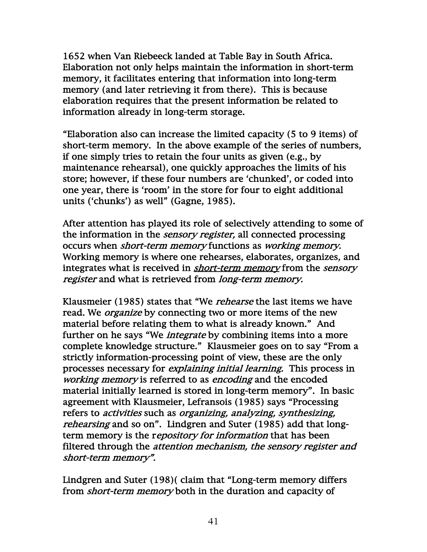1652 when Van Riebeeck landed at Table Bay in South Africa. Elaboration not only helps maintain the information in short-term memory, it facilitates entering that information into long-term memory (and later retrieving it from there). This is because elaboration requires that the present information be related to information already in long-term storage.

"Elaboration also can increase the limited capacity (5 to 9 items) of short-term memory. In the above example of the series of numbers, if one simply tries to retain the four units as given (e.g., by maintenance rehearsal), one quickly approaches the limits of his store; however, if these four numbers are 'chunked', or coded into one year, there is 'room' in the store for four to eight additional units ('chunks') as well" (Gagne, 1985).

After attention has played its role of selectively attending to some of the information in the *sensory register*, all connected processing occurs when short-term memory functions as working memory. Working memory is where one rehearses, elaborates, organizes, and integrates what is received in *short-term memory* from the *sensory* register and what is retrieved from *long-term memory*.

Klausmeier (1985) states that "We *rehearse* the last items we have read. We *organize* by connecting two or more items of the new material before relating them to what is already known." And further on he says "We *integrate* by combining items into a more complete knowledge structure." Klausmeier goes on to say "From a strictly information-processing point of view, these are the only processes necessary for explaining initial learning. This process in working memory is referred to as encoding and the encoded material initially learned is stored in long-term memory". In basic agreement with Klausmeier, Lefransois (1985) says "Processing refers to activities such as organizing, analyzing, synthesizing, rehearsing and so on". Lindgren and Suter (1985) add that longterm memory is the repository for information that has been filtered through the *attention mechanism, the sensory register and* short-term memory".

Lindgren and Suter (198)( claim that "Long-term memory differs from *short-term memory* both in the duration and capacity of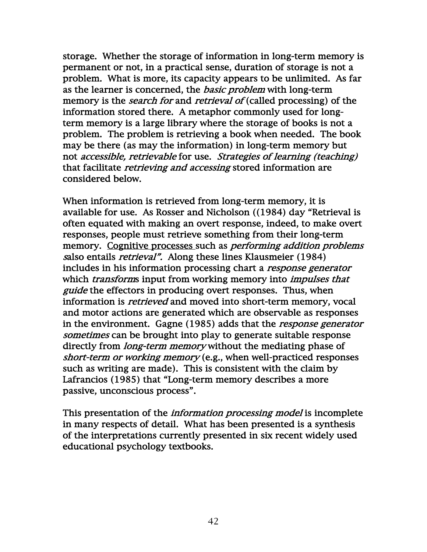storage. Whether the storage of information in long-term memory is permanent or not, in a practical sense, duration of storage is not a problem. What is more, its capacity appears to be unlimited. As far as the learner is concerned, the *basic problem* with long-term memory is the *search for* and *retrieval of* (called processing) of the information stored there. A metaphor commonly used for longterm memory is a large library where the storage of books is not a problem. The problem is retrieving a book when needed. The book may be there (as may the information) in long-term memory but not accessible, retrievable for use. Strategies of learning (teaching) that facilitate *retrieving and accessing* stored information are considered below.

When information is retrieved from long-term memory, it is available for use. As Rosser and Nicholson ((1984) day "Retrieval is often equated with making an overt response, indeed, to make overt responses, people must retrieve something from their long-term memory. Cognitive processes such as *performing addition problems* salso entails *retrieval*". Along these lines Klausmeier (1984) includes in his information processing chart a response generator which *transform*s input from working memory into *impulses that* guide the effectors in producing overt responses. Thus, when information is retrieved and moved into short-term memory, vocal and motor actions are generated which are observable as responses in the environment. Gagne (1985) adds that the *response generator* sometimes can be brought into play to generate suitable response directly from *long-term memory* without the mediating phase of short-term or working memory (e.g., when well-practiced responses such as writing are made). This is consistent with the claim by Lafrancios (1985) that "Long-term memory describes a more passive, unconscious process".

This presentation of the *information processing model* is incomplete in many respects of detail. What has been presented is a synthesis of the interpretations currently presented in six recent widely used educational psychology textbooks.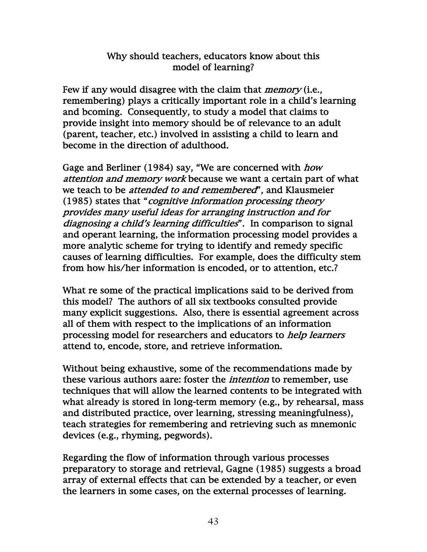# Why should teachers, educators know about this model of learning?

Few if any would disagree with the claim that *memory* (i.e., remembering) plays a critically important role in a child's learning and bcoming. Consequently, to study a model that claims to provide insight into memory should be of relevance to an adult (parent, teacher, etc.) involved in assisting a child to learn and become in the direction of adulthood.

Gage and Berliner (1984) say, "We are concerned with *how* attention and memory work because we want a certain part of what we teach to be *attended to and remembered*", and Klausmeier (1985) states that "cognitive information processing theory provides many useful ideas for arranging instruction and for diagnosing a child's learning difficulties". In comparison to signal and operant learning, the information processing model provides a more analytic scheme for trying to identify and remedy specific causes of learning difficulties. For example, does the difficulty stem from how his/her information is encoded, or to attention, etc.?

What re some of the practical implications said to be derived from this model? The authors of all six textbooks consulted provide many explicit suggestions. Also, there is essential agreement across all of them with respect to the implications of an information processing model for researchers and educators to *help learners* attend to, encode, store, and retrieve information.

Without being exhaustive, some of the recommendations made by these various authors aare: foster the intention to remember, use techniques that will allow the learned contents to be integrated with what already is stored in long-term memory (e.g., by rehearsal, mass and distributed practice, over learning, stressing meaningfulness), teach strategies for remembering and retrieving such as mnemonic devices (e.g., rhyming, pegwords).

Regarding the flow of information through various processes preparatory to storage and retrieval, Gagne (1985) suggests a broad array of external effects that can be extended by a teacher, or even the learners in some cases, on the external processes of learning.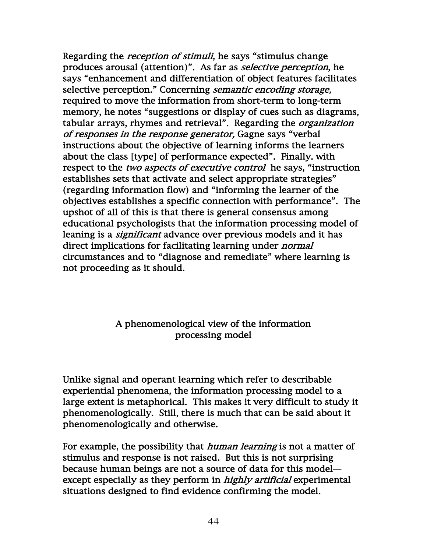Regarding the *reception of stimuli*, he says "stimulus change produces arousal (attention)". As far as selective perception, he says "enhancement and differentiation of object features facilitates selective perception." Concerning *semantic encoding storage*, required to move the information from short-term to long-term memory, he notes "suggestions or display of cues such as diagrams, tabular arrays, rhymes and retrieval". Regarding the *organization* of responses in the response generator, Gagne says "verbal instructions about the objective of learning informs the learners about the class [type] of performance expected". Finally. with respect to the *two aspects of executive control* he says, "instruction establishes sets that activate and select appropriate strategies" (regarding information flow) and "informing the learner of the objectives establishes a specific connection with performance". The upshot of all of this is that there is general consensus among educational psychologists that the information processing model of leaning is a *significant* advance over previous models and it has direct implications for facilitating learning under normal circumstances and to "diagnose and remediate" where learning is not proceeding as it should.

## A phenomenological view of the information processing model

Unlike signal and operant learning which refer to describable experiential phenomena, the information processing model to a large extent is metaphorical. This makes it very difficult to study it phenomenologically. Still, there is much that can be said about it phenomenologically and otherwise.

For example, the possibility that *human learning* is not a matter of stimulus and response is not raised. But this is not surprising because human beings are not a source of data for this model except especially as they perform in *highly artificial* experimental situations designed to find evidence confirming the model.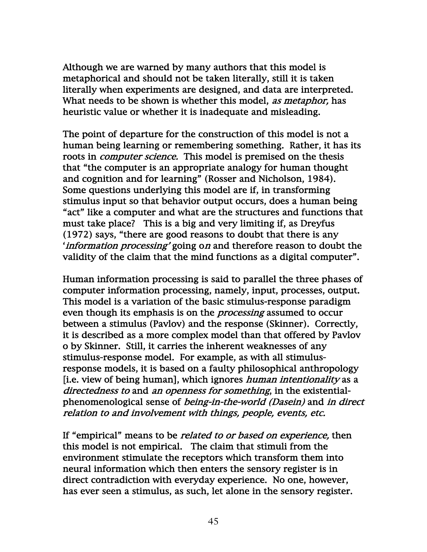Although we are warned by many authors that this model is metaphorical and should not be taken literally, still it is taken literally when experiments are designed, and data are interpreted. What needs to be shown is whether this model, as metaphor, has heuristic value or whether it is inadequate and misleading.

The point of departure for the construction of this model is not a human being learning or remembering something. Rather, it has its roots in *computer science*. This model is premised on the thesis that "the computer is an appropriate analogy for human thought and cognition and for learning" (Rosser and Nicholson, 1984). Some questions underlying this model are if, in transforming stimulus input so that behavior output occurs, does a human being "act" like a computer and what are the structures and functions that must take place? This is a big and very limiting if, as Dreyfus (1972) says, "there are good reasons to doubt that there is any 'information processing' going on and therefore reason to doubt the validity of the claim that the mind functions as a digital computer".

Human information processing is said to parallel the three phases of computer information processing, namely, input, processes, output. This model is a variation of the basic stimulus-response paradigm even though its emphasis is on the *processing* assumed to occur between a stimulus (Pavlov) and the response (Skinner). Correctly, it is described as a more complex model than that offered by Pavlov o by Skinner. Still, it carries the inherent weaknesses of any stimulus-response model. For example, as with all stimulusresponse models, it is based on a faulty philosophical anthropology [i.e. view of being human], which ignores *human intentionality* as a directedness to and an openness for something, in the existentialphenomenological sense of being-in-the-world (Dasein) and in direct relation to and involvement with things, people, events, etc.

If "empirical" means to be *related to or based on experience*, then this model is not empirical. The claim that stimuli from the environment stimulate the receptors which transform them into neural information which then enters the sensory register is in direct contradiction with everyday experience. No one, however, has ever seen a stimulus, as such, let alone in the sensory register.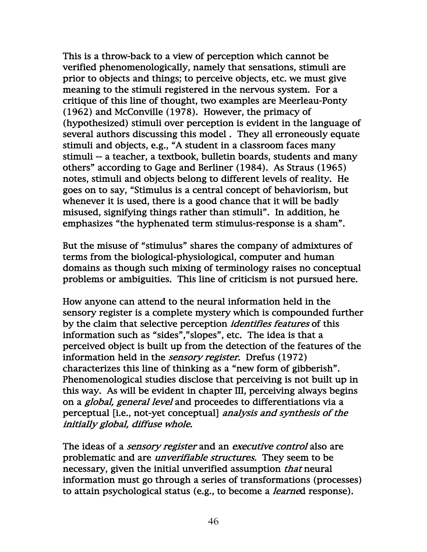This is a throw-back to a view of perception which cannot be verified phenomenologically, namely that sensations, stimuli are prior to objects and things; to perceive objects, etc. we must give meaning to the stimuli registered in the nervous system. For a critique of this line of thought, two examples are Meerleau-Ponty (1962) and McConville (1978). However, the primacy of (hypothesized) stimuli over perception is evident in the language of several authors discussing this model . They all erroneously equate stimuli and objects, e.g., "A student in a classroom faces many stimuli -- a teacher, a textbook, bulletin boards, students and many others" according to Gage and Berliner (1984). As Straus (1965) notes, stimuli and objects belong to different levels of reality. He goes on to say, "Stimulus is a central concept of behaviorism, but whenever it is used, there is a good chance that it will be badly misused, signifying things rather than stimuli". In addition, he emphasizes "the hyphenated term stimulus-response is a sham".

But the misuse of "stimulus" shares the company of admixtures of terms from the biological-physiological, computer and human domains as though such mixing of terminology raises no conceptual problems or ambiguities. This line of criticism is not pursued here.

How anyone can attend to the neural information held in the sensory register is a complete mystery which is compounded further by the claim that selective perception *identifies features* of this information such as "sides","slopes", etc. The idea is that a perceived object is built up from the detection of the features of the information held in the *sensory register*. Drefus (1972) characterizes this line of thinking as a "new form of gibberish". Phenomenological studies disclose that perceiving is not built up in this way. As will be evident in chapter III, perceiving always begins on a global, general level and proceedes to differentiations via a perceptual [i.e., not-yet conceptual] analysis and synthesis of the initially global, diffuse whole.

The ideas of a *sensory register* and an *executive control* also are problematic and are *unverifiable structures*. They seem to be necessary, given the initial unverified assumption *that* neural information must go through a series of transformations (processes) to attain psychological status (e.g., to become a learned response).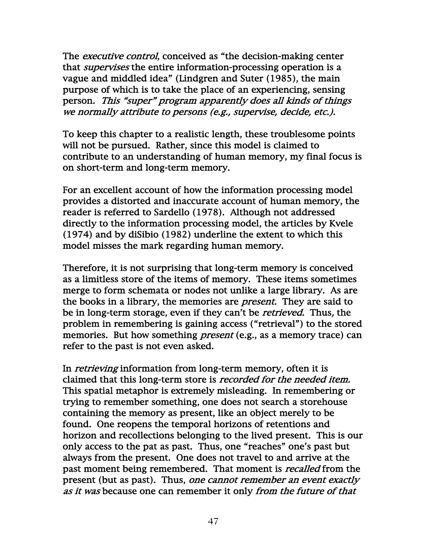The *executive control*, conceived as "the decision-making center that *supervises* the entire information-processing operation is a vague and middled idea" (Lindgren and Suter (1985), the main purpose of which is to take the place of an experiencing, sensing person. This "super" program apparently does all kinds of things we normally attribute to persons (e.g., supervise, decide, etc.).

To keep this chapter to a realistic length, these troublesome points will not be pursued. Rather, since this model is claimed to contribute to an understanding of human memory, my final focus is on short-term and long-term memory.

For an excellent account of how the information processing model provides a distorted and inaccurate account of human memory, the reader is referred to Sardello (1978). Although not addressed directly to the information processing model, the articles by Kvele (1974) and by diSibio (1982) underline the extent to which this model misses the mark regarding human memory.

Therefore, it is not surprising that long-term memory is conceived as a limitless store of the items of memory. These items sometimes merge to form schemata or nodes not unlike a large library. As are the books in a library, the memories are present. They are said to be in long-term storage, even if they can't be *retrieved*. Thus, the problem in remembering is gaining access ("retrieval") to the stored memories. But how something *present* (e.g., as a memory trace) can refer to the past is not even asked.

In *retrieving* information from long-term memory, often it is claimed that this long-term store is *recorded for the needed item*. This spatial metaphor is extremely misleading. In remembering or trying to remember something, one does not search a storehouse containing the memory as present, like an object merely to be found. One reopens the temporal horizons of retentions and horizon and recollections belonging to the lived present. This is our only access to the pat as past. Thus, one "reaches" one's past but always from the present. One does not travel to and arrive at the past moment being remembered. That moment is *recalled* from the present (but as past). Thus, one cannot remember an event exactly as it was because one can remember it only from the future of that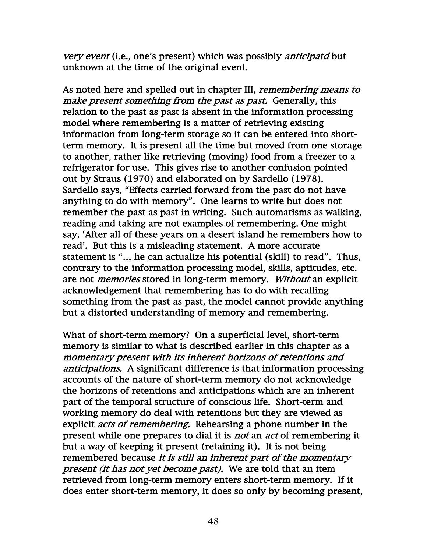very event (i.e., one's present) which was possibly anticipatd but unknown at the time of the original event.

As noted here and spelled out in chapter III, *remembering means to* make present something from the past as past. Generally, this relation to the past as past is absent in the information processing model where remembering is a matter of retrieving existing information from long-term storage so it can be entered into shortterm memory. It is present all the time but moved from one storage to another, rather like retrieving (moving) food from a freezer to a refrigerator for use. This gives rise to another confusion pointed out by Straus (1970) and elaborated on by Sardello (1978). Sardello says, "Effects carried forward from the past do not have anything to do with memory". One learns to write but does not remember the past as past in writing. Such automatisms as walking, reading and taking are not examples of remembering. One might say, 'After all of these years on a desert island he remembers how to read'. But this is a misleading statement. A more accurate statement is "… he can actualize his potential (skill) to read". Thus, contrary to the information processing model, skills, aptitudes, etc. are not *memories* stored in long-term memory. Without an explicit acknowledgement that remembering has to do with recalling something from the past as past, the model cannot provide anything but a distorted understanding of memory and remembering.

What of short-term memory? On a superficial level, short-term memory is similar to what is described earlier in this chapter as a momentary present with its inherent horizons of retentions and anticipations. A significant difference is that information processing accounts of the nature of short-term memory do not acknowledge the horizons of retentions and anticipations which are an inherent part of the temporal structure of conscious life. Short-term and working memory do deal with retentions but they are viewed as explicit *acts of remembering*. Rehearsing a phone number in the present while one prepares to dial it is *not* an *act* of remembering it but a way of keeping it present (retaining it). It is not being remembered because it is still an inherent part of the momentary present (it has not yet become past). We are told that an item retrieved from long-term memory enters short-term memory. If it does enter short-term memory, it does so only by becoming present,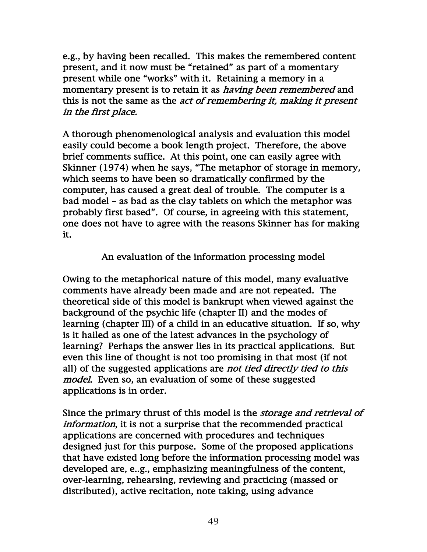e.g., by having been recalled. This makes the remembered content present, and it now must be "retained" as part of a momentary present while one "works" with it. Retaining a memory in a momentary present is to retain it as *having been remembered* and this is not the same as the *act of remembering it, making it present* in the first place.

A thorough phenomenological analysis and evaluation this model easily could become a book length project. Therefore, the above brief comments suffice. At this point, one can easily agree with Skinner (1974) when he says, "The metaphor of storage in memory, which seems to have been so dramatically confirmed by the computer, has caused a great deal of trouble. The computer is a bad model – as bad as the clay tablets on which the metaphor was probably first based". Of course, in agreeing with this statement, one does not have to agree with the reasons Skinner has for making it.

An evaluation of the information processing model

Owing to the metaphorical nature of this model, many evaluative comments have already been made and are not repeated. The theoretical side of this model is bankrupt when viewed against the background of the psychic life (chapter II) and the modes of learning (chapter III) of a child in an educative situation. If so, why is it hailed as one of the latest advances in the psychology of learning? Perhaps the answer lies in its practical applications. But even this line of thought is not too promising in that most (if not all) of the suggested applications are not tied directly tied to this model. Even so, an evaluation of some of these suggested applications is in order.

Since the primary thrust of this model is the *storage and retrieval of* information, it is not a surprise that the recommended practical applications are concerned with procedures and techniques designed just for this purpose. Some of the proposed applications that have existed long before the information processing model was developed are, e..g., emphasizing meaningfulness of the content, over-learning, rehearsing, reviewing and practicing (massed or distributed), active recitation, note taking, using advance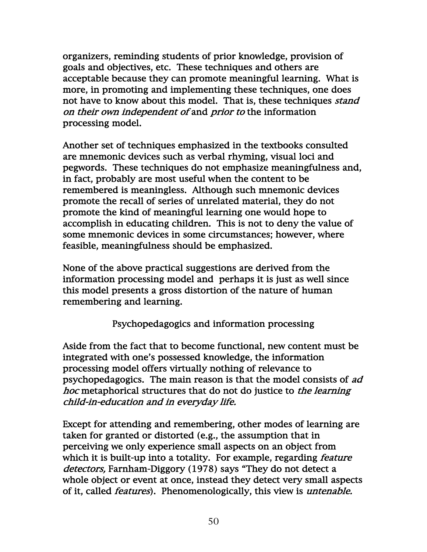organizers, reminding students of prior knowledge, provision of goals and objectives, etc. These techniques and others are acceptable because they can promote meaningful learning. What is more, in promoting and implementing these techniques, one does not have to know about this model. That is, these techniques *stand* on their own independent of and prior to the information processing model.

Another set of techniques emphasized in the textbooks consulted are mnemonic devices such as verbal rhyming, visual loci and pegwords. These techniques do not emphasize meaningfulness and, in fact, probably are most useful when the content to be remembered is meaningless. Although such mnemonic devices promote the recall of series of unrelated material, they do not promote the kind of meaningful learning one would hope to accomplish in educating children. This is not to deny the value of some mnemonic devices in some circumstances; however, where feasible, meaningfulness should be emphasized.

None of the above practical suggestions are derived from the information processing model and perhaps it is just as well since this model presents a gross distortion of the nature of human remembering and learning.

Psychopedagogics and information processing

Aside from the fact that to become functional, new content must be integrated with one's possessed knowledge, the information processing model offers virtually nothing of relevance to psychopedagogics. The main reason is that the model consists of ad hoc metaphorical structures that do not do justice to the learning child-in-education and in everyday life.

Except for attending and remembering, other modes of learning are taken for granted or distorted (e.g., the assumption that in perceiving we only experience small aspects on an object from which it is built-up into a totality. For example, regarding *feature* detectors, Farnham-Diggory (1978) says "They do not detect a whole object or event at once, instead they detect very small aspects of it, called *features*). Phenomenologically, this view is *untenable*.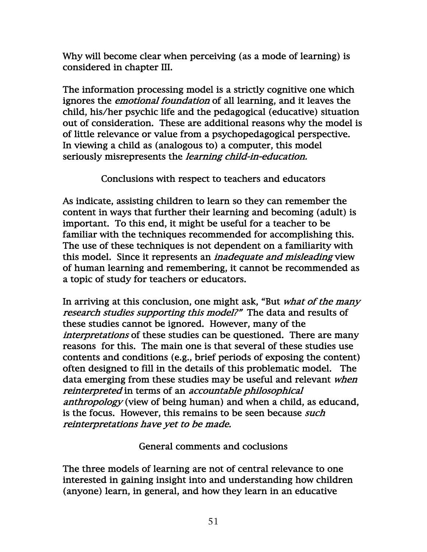Why will become clear when perceiving (as a mode of learning) is considered in chapter III.

The information processing model is a strictly cognitive one which ignores the *emotional foundation* of all learning, and it leaves the child, his/her psychic life and the pedagogical (educative) situation out of consideration. These are additional reasons why the model is of little relevance or value from a psychopedagogical perspective. In viewing a child as (analogous to) a computer, this model seriously misrepresents the *learning child-in-education*.

Conclusions with respect to teachers and educators

As indicate, assisting children to learn so they can remember the content in ways that further their learning and becoming (adult) is important. To this end, it might be useful for a teacher to be familiar with the techniques recommended for accomplishing this. The use of these techniques is not dependent on a familiarity with this model. Since it represents an inadequate and misleading view of human learning and remembering, it cannot be recommended as a topic of study for teachers or educators.

In arriving at this conclusion, one might ask, "But what of the many research studies supporting this model?" The data and results of these studies cannot be ignored. However, many of the interpretations of these studies can be questioned. There are many reasons for this. The main one is that several of these studies use contents and conditions (e.g., brief periods of exposing the content) often designed to fill in the details of this problematic model. The data emerging from these studies may be useful and relevant when reinterpreted in terms of an accountable philosophical anthropology (view of being human) and when a child, as educand, is the focus. However, this remains to be seen because *such* reinterpretations have yet to be made.

General comments and coclusions

The three models of learning are not of central relevance to one interested in gaining insight into and understanding how children (anyone) learn, in general, and how they learn in an educative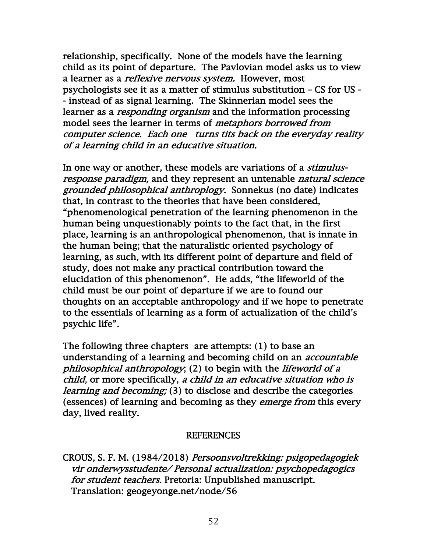relationship, specifically. None of the models have the learning child as its point of departure. The Pavlovian model asks us to view a learner as a *reflexive nervous system*. However, most psychologists see it as a matter of stimulus substitution – CS for US - - instead of as signal learning. The Skinnerian model sees the learner as a *responding organism* and the information processing model sees the learner in terms of metaphors borrowed from computer science. Each one turns tits back on the everyday reality of a learning child in an educative situation.

In one way or another, these models are variations of a *stimulus*response paradigm, and they represent an untenable natural science grounded philosophical anthroplogy. Sonnekus (no date) indicates that, in contrast to the theories that have been considered, "phenomenological penetration of the learning phenomenon in the human being unquestionably points to the fact that, in the first place, learning is an anthropological phenomenon, that is innate in the human being; that the naturalistic oriented psychology of learning, as such, with its different point of departure and field of study, does not make any practical contribution toward the elucidation of this phenomenon". He adds, "the lifeworld of the child must be our point of departure if we are to found our thoughts on an acceptable anthropology and if we hope to penetrate to the essentials of learning as a form of actualization of the child's psychic life".

The following three chapters are attempts: (1) to base an understanding of a learning and becoming child on an *accountable* philosophical anthropology; (2) to begin with the lifeworld of a child, or more specifically, a child in an educative situation who is learning and becoming; (3) to disclose and describe the categories (essences) of learning and becoming as they emerge from this every day, lived reality.

#### REFERENCES

CROUS, S. F. M. (1984/2018) Persoonsvoltrekking: psigopedagogiek vir onderwysstudente/ Personal actualization: psychopedagogics for student teachers. Pretoria: Unpublished manuscript. Translation: geogeyonge.net/node/56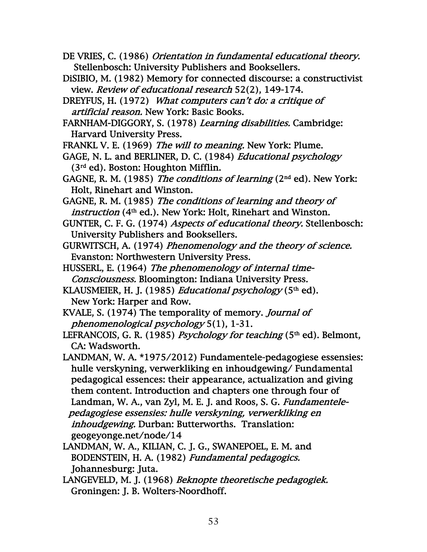- DE VRIES, C. (1986) Orientation in fundamental educational theory. Stellenbosch: University Publishers and Booksellers.
- DiSIBIO, M. (1982) Memory for connected discourse: a constructivist view. Review of educational research 52(2), 149-174.
- DREYFUS, H. (1972) What computers can't do: a critique of artificial reason. New York: Basic Books.
- FARNHAM-DIGGORY, S. (1978) Learning disabilities. Cambridge: Harvard University Press.
- FRANKL V. E. (1969) The will to meaning. New York: Plume.
- GAGE, N. L. and BERLINER, D. C. (1984) Educational psychology (3rd ed). Boston: Houghton Mifflin.
- GAGNE, R. M. (1985) The conditions of learning ( $2<sup>nd</sup>$  ed). New York: Holt, Rinehart and Winston.
- GAGNE, R. M. (1985) The conditions of learning and theory of instruction (4<sup>th</sup> ed.). New York: Holt, Rinehart and Winston.

GUNTER, C. F. G. (1974) Aspects of educational theory. Stellenbosch: University Publishers and Booksellers.

- GURWITSCH, A. (1974) Phenomenology and the theory of science. Evanston: Northwestern University Press.
- HUSSERL, E. (1964) The phenomenology of internal time- Consciousness. Bloomington: Indiana University Press.
- KLAUSMEIER, H. J. (1985) *Educational psychology* (5<sup>th</sup> ed). New York: Harper and Row.
- KVALE, S. (1974) The temporality of memory. Journal of phenomenological psychology 5(1), 1-31.
- LEFRANCOIS, G. R. (1985) Psychology for teaching  $(5<sup>th</sup> ed)$ . Belmont, CA: Wadsworth.
- LANDMAN, W. A. \*1975/2012) Fundamentele-pedagogiese essensies: hulle verskyning, verwerkliking en inhoudgewing/ Fundamental pedagogical essences: their appearance, actualization and giving them content. Introduction and chapters one through four of Landman, W. A., van Zyl, M. E. J. and Roos, S. G. Fundamentele pedagogiese essensies: hulle verskyning, verwerkliking en inhoudgewing. Durban: Butterworths. Translation: geogeyonge.net/node/14
- LANDMAN, W. A., KILIAN, C. J. G., SWANEPOEL, E. M. and BODENSTEIN, H. A. (1982) Fundamental pedagogics. Johannesburg: Juta.
- LANGEVELD, M. J. (1968) Beknopte theoretische pedagogiek. Groningen: J. B. Wolters-Noordhoff.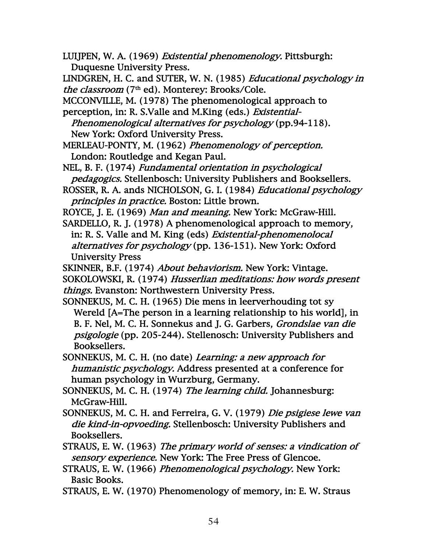LUIJPEN, W. A. (1969) Existential phenomenology. Pittsburgh: Duquesne University Press.

LINDGREN, H. C. and SUTER, W. N. (1985) Educational psychology in the classroom  $(7<sup>th</sup>$  ed). Monterey: Brooks/Cole.

MCCONVILLE, M. (1978) The phenomenological approach to

perception, in: R. S.Valle and M.King (eds.) Existential-

 Phenomenological alternatives for psychology (pp.94-118). New York: Oxford University Press.

MERLEAU-PONTY, M. (1962) Phenomenology of perception. London: Routledge and Kegan Paul.

NEL, B. F. (1974) Fundamental orientation in psychological pedagogics. Stellenbosch: University Publishers and Booksellers.

ROYCE, J. E. (1969) Man and meaning. New York: McGraw-Hill.

SARDELLO, R. J. (1978) A phenomenological approach to memory, in: R. S. Valle and M. King (eds) Existential-phenomenolocal alternatives for psychology (pp. 136-151). New York: Oxford University Press

SKINNER, B.F. (1974) *About behaviorism*. New York: Vintage.

SOKOLOWSKI, R. (1974) Husserlian meditations: how words present things. Evanston: Northwestern University Press.

SONNEKUS, M. C. H. (1965) Die mens in leerverhouding tot sy Wereld [A=The person in a learning relationship to his world], in B. F. Nel, M. C. H. Sonnekus and J. G. Garbers, Grondslae van die psigologie (pp. 205-244). Stellenosch: University Publishers and Booksellers.

SONNEKUS, M. C. H. (no date) Learning: a new approach for humanistic psychology. Address presented at a conference for human psychology in Wurzburg, Germany.

SONNEKUS, M. C. H. (1974) *The learning child.* Johannesburg: McGraw-Hill.

SONNEKUS, M. C. H. and Ferreira, G. V. (1979) Die psigiese lewe van die kind-in-opvoeding. Stellenbosch: University Publishers and Booksellers.

STRAUS, E. W. (1963) The primary world of senses: a vindication of sensory experience. New York: The Free Press of Glencoe.

STRAUS, E. W. (1966) Phenomenological psychology. New York: Basic Books.

STRAUS, E. W. (1970) Phenomenology of memory, in: E. W. Straus

ROSSER, R. A. ands NICHOLSON, G. I. (1984) Educational psychology principles in practice. Boston: Little brown.